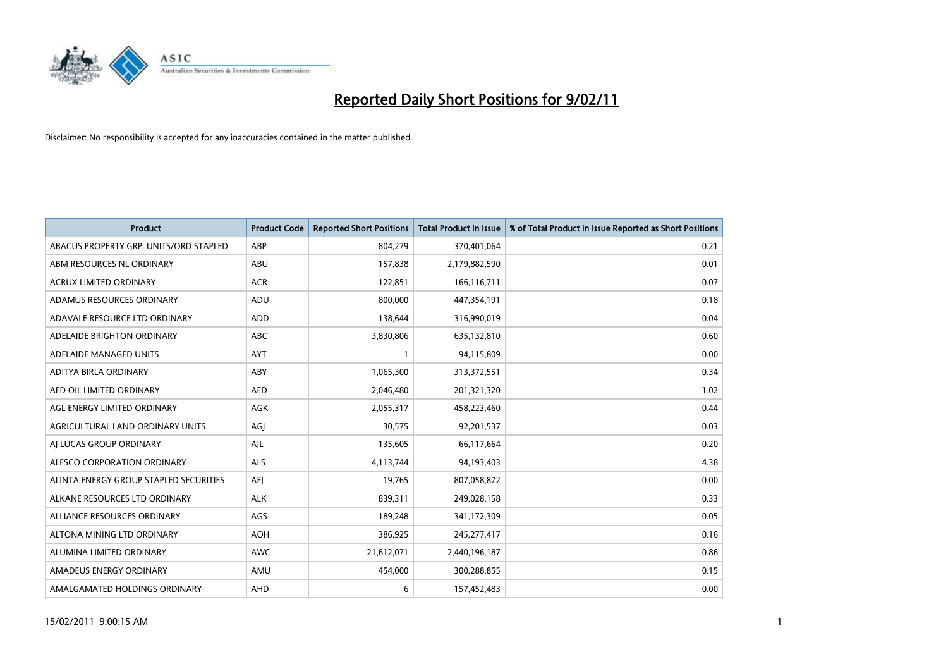

| <b>Product</b>                         | <b>Product Code</b> | <b>Reported Short Positions</b> | <b>Total Product in Issue</b> | % of Total Product in Issue Reported as Short Positions |
|----------------------------------------|---------------------|---------------------------------|-------------------------------|---------------------------------------------------------|
| ABACUS PROPERTY GRP. UNITS/ORD STAPLED | ABP                 | 804,279                         | 370,401,064                   | 0.21                                                    |
| ABM RESOURCES NL ORDINARY              | <b>ABU</b>          | 157,838                         | 2,179,882,590                 | 0.01                                                    |
| <b>ACRUX LIMITED ORDINARY</b>          | <b>ACR</b>          | 122,851                         | 166,116,711                   | 0.07                                                    |
| ADAMUS RESOURCES ORDINARY              | ADU                 | 800,000                         | 447,354,191                   | 0.18                                                    |
| ADAVALE RESOURCE LTD ORDINARY          | <b>ADD</b>          | 138.644                         | 316,990,019                   | 0.04                                                    |
| ADELAIDE BRIGHTON ORDINARY             | <b>ABC</b>          | 3,830,806                       | 635,132,810                   | 0.60                                                    |
| ADELAIDE MANAGED UNITS                 | <b>AYT</b>          |                                 | 94,115,809                    | 0.00                                                    |
| ADITYA BIRLA ORDINARY                  | ABY                 | 1,065,300                       | 313,372,551                   | 0.34                                                    |
| AED OIL LIMITED ORDINARY               | <b>AED</b>          | 2,046,480                       | 201,321,320                   | 1.02                                                    |
| AGL ENERGY LIMITED ORDINARY            | <b>AGK</b>          | 2,055,317                       | 458,223,460                   | 0.44                                                    |
| AGRICULTURAL LAND ORDINARY UNITS       | AGJ                 | 30,575                          | 92,201,537                    | 0.03                                                    |
| AI LUCAS GROUP ORDINARY                | AJL                 | 135,605                         | 66,117,664                    | 0.20                                                    |
| ALESCO CORPORATION ORDINARY            | <b>ALS</b>          | 4,113,744                       | 94,193,403                    | 4.38                                                    |
| ALINTA ENERGY GROUP STAPLED SECURITIES | AEI                 | 19,765                          | 807,058,872                   | 0.00                                                    |
| ALKANE RESOURCES LTD ORDINARY          | <b>ALK</b>          | 839,311                         | 249,028,158                   | 0.33                                                    |
| ALLIANCE RESOURCES ORDINARY            | AGS                 | 189,248                         | 341,172,309                   | 0.05                                                    |
| ALTONA MINING LTD ORDINARY             | <b>AOH</b>          | 386,925                         | 245,277,417                   | 0.16                                                    |
| ALUMINA LIMITED ORDINARY               | <b>AWC</b>          | 21,612,071                      | 2,440,196,187                 | 0.86                                                    |
| AMADEUS ENERGY ORDINARY                | AMU                 | 454,000                         | 300,288,855                   | 0.15                                                    |
| AMALGAMATED HOLDINGS ORDINARY          | AHD                 | 6                               | 157,452,483                   | 0.00                                                    |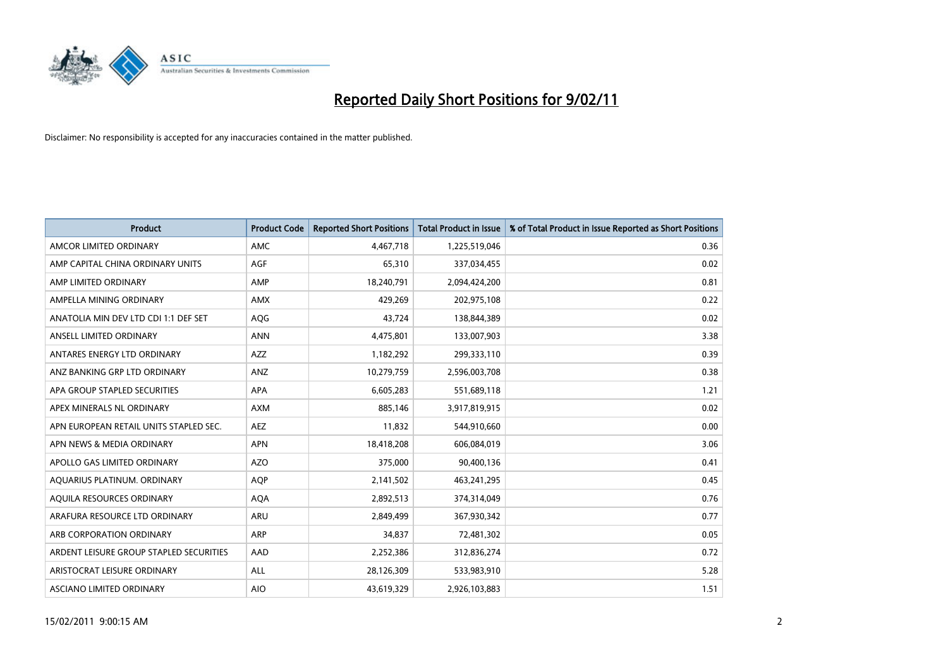

| <b>Product</b>                          | <b>Product Code</b> | <b>Reported Short Positions</b> | <b>Total Product in Issue</b> | % of Total Product in Issue Reported as Short Positions |
|-----------------------------------------|---------------------|---------------------------------|-------------------------------|---------------------------------------------------------|
| AMCOR LIMITED ORDINARY                  | <b>AMC</b>          | 4,467,718                       | 1,225,519,046                 | 0.36                                                    |
| AMP CAPITAL CHINA ORDINARY UNITS        | <b>AGF</b>          | 65,310                          | 337,034,455                   | 0.02                                                    |
| AMP LIMITED ORDINARY                    | AMP                 | 18,240,791                      | 2,094,424,200                 | 0.81                                                    |
| AMPELLA MINING ORDINARY                 | <b>AMX</b>          | 429.269                         | 202,975,108                   | 0.22                                                    |
| ANATOLIA MIN DEV LTD CDI 1:1 DEF SET    | AQG                 | 43,724                          | 138,844,389                   | 0.02                                                    |
| ANSELL LIMITED ORDINARY                 | <b>ANN</b>          | 4,475,801                       | 133,007,903                   | 3.38                                                    |
| ANTARES ENERGY LTD ORDINARY             | <b>AZZ</b>          | 1,182,292                       | 299,333,110                   | 0.39                                                    |
| ANZ BANKING GRP LTD ORDINARY            | ANZ                 | 10,279,759                      | 2,596,003,708                 | 0.38                                                    |
| APA GROUP STAPLED SECURITIES            | <b>APA</b>          | 6,605,283                       | 551,689,118                   | 1.21                                                    |
| APEX MINERALS NL ORDINARY               | <b>AXM</b>          | 885,146                         | 3,917,819,915                 | 0.02                                                    |
| APN EUROPEAN RETAIL UNITS STAPLED SEC.  | <b>AEZ</b>          | 11,832                          | 544,910,660                   | 0.00                                                    |
| APN NEWS & MEDIA ORDINARY               | <b>APN</b>          | 18,418,208                      | 606,084,019                   | 3.06                                                    |
| APOLLO GAS LIMITED ORDINARY             | <b>AZO</b>          | 375,000                         | 90,400,136                    | 0.41                                                    |
| AQUARIUS PLATINUM. ORDINARY             | <b>AOP</b>          | 2,141,502                       | 463,241,295                   | 0.45                                                    |
| AQUILA RESOURCES ORDINARY               | <b>AQA</b>          | 2,892,513                       | 374,314,049                   | 0.76                                                    |
| ARAFURA RESOURCE LTD ORDINARY           | <b>ARU</b>          | 2,849,499                       | 367,930,342                   | 0.77                                                    |
| ARB CORPORATION ORDINARY                | <b>ARP</b>          | 34,837                          | 72,481,302                    | 0.05                                                    |
| ARDENT LEISURE GROUP STAPLED SECURITIES | AAD                 | 2,252,386                       | 312,836,274                   | 0.72                                                    |
| ARISTOCRAT LEISURE ORDINARY             | ALL                 | 28,126,309                      | 533,983,910                   | 5.28                                                    |
| ASCIANO LIMITED ORDINARY                | <b>AIO</b>          | 43,619,329                      | 2,926,103,883                 | 1.51                                                    |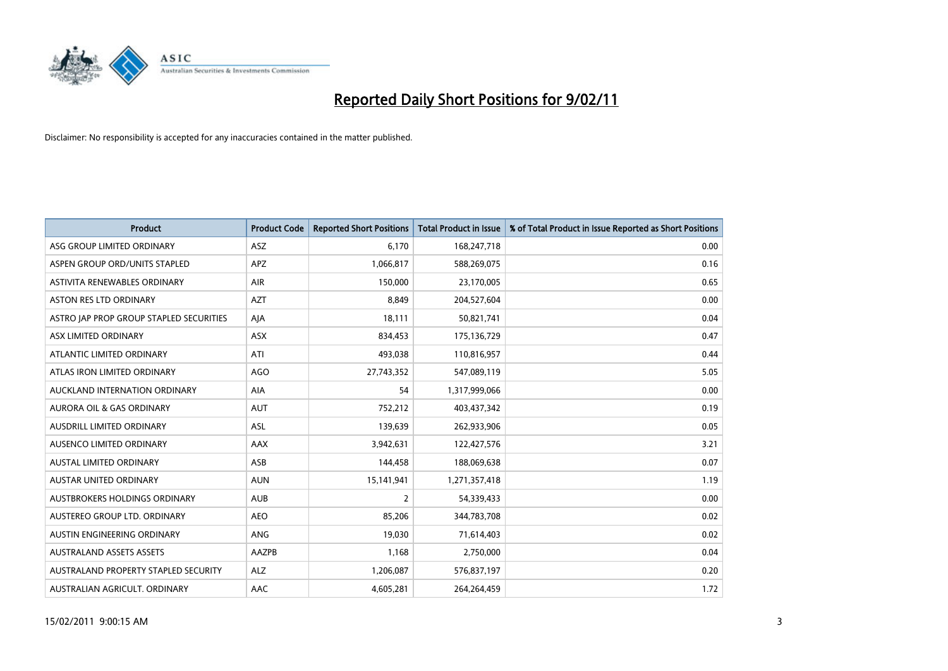

| <b>Product</b>                          | <b>Product Code</b> | <b>Reported Short Positions</b> | Total Product in Issue | % of Total Product in Issue Reported as Short Positions |
|-----------------------------------------|---------------------|---------------------------------|------------------------|---------------------------------------------------------|
| ASG GROUP LIMITED ORDINARY              | <b>ASZ</b>          | 6,170                           | 168,247,718            | 0.00                                                    |
| ASPEN GROUP ORD/UNITS STAPLED           | <b>APZ</b>          | 1,066,817                       | 588,269,075            | 0.16                                                    |
| ASTIVITA RENEWABLES ORDINARY            | <b>AIR</b>          | 150,000                         | 23,170,005             | 0.65                                                    |
| ASTON RES LTD ORDINARY                  | <b>AZT</b>          | 8,849                           | 204,527,604            | 0.00                                                    |
| ASTRO JAP PROP GROUP STAPLED SECURITIES | AJA                 | 18,111                          | 50,821,741             | 0.04                                                    |
| ASX LIMITED ORDINARY                    | <b>ASX</b>          | 834,453                         | 175,136,729            | 0.47                                                    |
| ATLANTIC LIMITED ORDINARY               | ATI                 | 493,038                         | 110,816,957            | 0.44                                                    |
| ATLAS IRON LIMITED ORDINARY             | <b>AGO</b>          | 27,743,352                      | 547,089,119            | 5.05                                                    |
| AUCKLAND INTERNATION ORDINARY           | AIA                 | 54                              | 1,317,999,066          | 0.00                                                    |
| <b>AURORA OIL &amp; GAS ORDINARY</b>    | <b>AUT</b>          | 752,212                         | 403,437,342            | 0.19                                                    |
| AUSDRILL LIMITED ORDINARY               | <b>ASL</b>          | 139,639                         | 262,933,906            | 0.05                                                    |
| AUSENCO LIMITED ORDINARY                | <b>AAX</b>          | 3,942,631                       | 122,427,576            | 3.21                                                    |
| <b>AUSTAL LIMITED ORDINARY</b>          | ASB                 | 144.458                         | 188,069,638            | 0.07                                                    |
| <b>AUSTAR UNITED ORDINARY</b>           | <b>AUN</b>          | 15,141,941                      | 1,271,357,418          | 1.19                                                    |
| AUSTBROKERS HOLDINGS ORDINARY           | <b>AUB</b>          | 2                               | 54,339,433             | 0.00                                                    |
| AUSTEREO GROUP LTD. ORDINARY            | <b>AEO</b>          | 85,206                          | 344,783,708            | 0.02                                                    |
| AUSTIN ENGINEERING ORDINARY             | ANG                 | 19,030                          | 71,614,403             | 0.02                                                    |
| <b>AUSTRALAND ASSETS ASSETS</b>         | AAZPB               | 1,168                           | 2,750,000              | 0.04                                                    |
| AUSTRALAND PROPERTY STAPLED SECURITY    | <b>ALZ</b>          | 1,206,087                       | 576,837,197            | 0.20                                                    |
| AUSTRALIAN AGRICULT. ORDINARY           | AAC                 | 4,605,281                       | 264,264,459            | 1.72                                                    |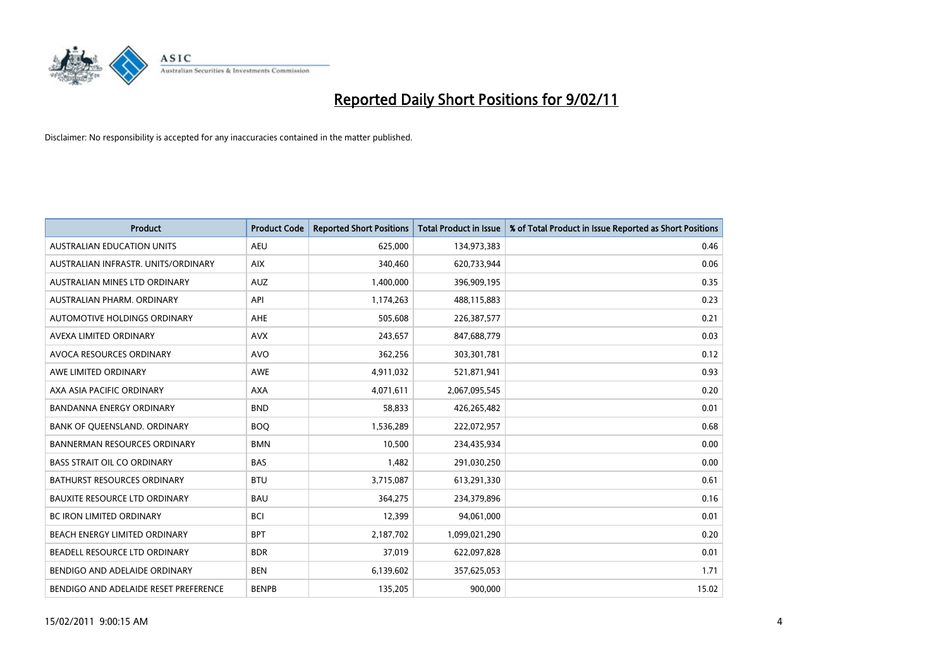

| Product                               | <b>Product Code</b> | <b>Reported Short Positions</b> | <b>Total Product in Issue</b> | % of Total Product in Issue Reported as Short Positions |
|---------------------------------------|---------------------|---------------------------------|-------------------------------|---------------------------------------------------------|
| <b>AUSTRALIAN EDUCATION UNITS</b>     | <b>AEU</b>          | 625,000                         | 134,973,383                   | 0.46                                                    |
| AUSTRALIAN INFRASTR, UNITS/ORDINARY   | <b>AIX</b>          | 340,460                         | 620,733,944                   | 0.06                                                    |
| AUSTRALIAN MINES LTD ORDINARY         | <b>AUZ</b>          | 1,400,000                       | 396,909,195                   | 0.35                                                    |
| AUSTRALIAN PHARM. ORDINARY            | API                 | 1,174,263                       | 488,115,883                   | 0.23                                                    |
| AUTOMOTIVE HOLDINGS ORDINARY          | <b>AHE</b>          | 505.608                         | 226,387,577                   | 0.21                                                    |
| AVEXA LIMITED ORDINARY                | <b>AVX</b>          | 243,657                         | 847,688,779                   | 0.03                                                    |
| AVOCA RESOURCES ORDINARY              | <b>AVO</b>          | 362,256                         | 303,301,781                   | 0.12                                                    |
| AWE LIMITED ORDINARY                  | <b>AWE</b>          | 4,911,032                       | 521,871,941                   | 0.93                                                    |
| AXA ASIA PACIFIC ORDINARY             | <b>AXA</b>          | 4,071,611                       | 2,067,095,545                 | 0.20                                                    |
| <b>BANDANNA ENERGY ORDINARY</b>       | <b>BND</b>          | 58,833                          | 426,265,482                   | 0.01                                                    |
| BANK OF QUEENSLAND. ORDINARY          | <b>BOQ</b>          | 1,536,289                       | 222,072,957                   | 0.68                                                    |
| <b>BANNERMAN RESOURCES ORDINARY</b>   | <b>BMN</b>          | 10,500                          | 234,435,934                   | 0.00                                                    |
| <b>BASS STRAIT OIL CO ORDINARY</b>    | <b>BAS</b>          | 1,482                           | 291,030,250                   | 0.00                                                    |
| <b>BATHURST RESOURCES ORDINARY</b>    | <b>BTU</b>          | 3,715,087                       | 613,291,330                   | 0.61                                                    |
| <b>BAUXITE RESOURCE LTD ORDINARY</b>  | <b>BAU</b>          | 364,275                         | 234,379,896                   | 0.16                                                    |
| <b>BC IRON LIMITED ORDINARY</b>       | <b>BCI</b>          | 12,399                          | 94,061,000                    | 0.01                                                    |
| <b>BEACH ENERGY LIMITED ORDINARY</b>  | <b>BPT</b>          | 2,187,702                       | 1,099,021,290                 | 0.20                                                    |
| BEADELL RESOURCE LTD ORDINARY         | <b>BDR</b>          | 37,019                          | 622,097,828                   | 0.01                                                    |
| BENDIGO AND ADELAIDE ORDINARY         | <b>BEN</b>          | 6,139,602                       | 357,625,053                   | 1.71                                                    |
| BENDIGO AND ADELAIDE RESET PREFERENCE | <b>BENPB</b>        | 135,205                         | 900,000                       | 15.02                                                   |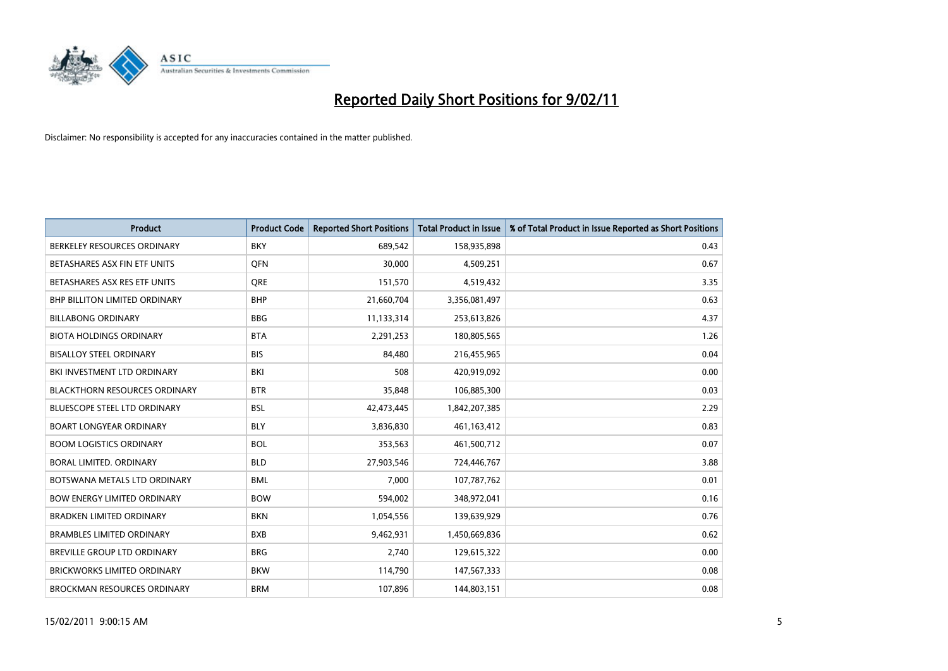

| <b>Product</b>                       | <b>Product Code</b> | <b>Reported Short Positions</b> | <b>Total Product in Issue</b> | % of Total Product in Issue Reported as Short Positions |
|--------------------------------------|---------------------|---------------------------------|-------------------------------|---------------------------------------------------------|
| BERKELEY RESOURCES ORDINARY          | <b>BKY</b>          | 689,542                         | 158,935,898                   | 0.43                                                    |
| BETASHARES ASX FIN ETF UNITS         | <b>OFN</b>          | 30,000                          | 4,509,251                     | 0.67                                                    |
| BETASHARES ASX RES ETF UNITS         | <b>ORE</b>          | 151,570                         | 4,519,432                     | 3.35                                                    |
| <b>BHP BILLITON LIMITED ORDINARY</b> | <b>BHP</b>          | 21,660,704                      | 3,356,081,497                 | 0.63                                                    |
| <b>BILLABONG ORDINARY</b>            | <b>BBG</b>          | 11,133,314                      | 253,613,826                   | 4.37                                                    |
| <b>BIOTA HOLDINGS ORDINARY</b>       | <b>BTA</b>          | 2,291,253                       | 180,805,565                   | 1.26                                                    |
| <b>BISALLOY STEEL ORDINARY</b>       | <b>BIS</b>          | 84,480                          | 216,455,965                   | 0.04                                                    |
| <b>BKI INVESTMENT LTD ORDINARY</b>   | <b>BKI</b>          | 508                             | 420,919,092                   | 0.00                                                    |
| <b>BLACKTHORN RESOURCES ORDINARY</b> | <b>BTR</b>          | 35,848                          | 106,885,300                   | 0.03                                                    |
| <b>BLUESCOPE STEEL LTD ORDINARY</b>  | <b>BSL</b>          | 42,473,445                      | 1,842,207,385                 | 2.29                                                    |
| <b>BOART LONGYEAR ORDINARY</b>       | <b>BLY</b>          | 3,836,830                       | 461,163,412                   | 0.83                                                    |
| <b>BOOM LOGISTICS ORDINARY</b>       | <b>BOL</b>          | 353,563                         | 461,500,712                   | 0.07                                                    |
| BORAL LIMITED, ORDINARY              | <b>BLD</b>          | 27,903,546                      | 724,446,767                   | 3.88                                                    |
| BOTSWANA METALS LTD ORDINARY         | <b>BML</b>          | 7,000                           | 107,787,762                   | 0.01                                                    |
| <b>BOW ENERGY LIMITED ORDINARY</b>   | <b>BOW</b>          | 594,002                         | 348,972,041                   | 0.16                                                    |
| <b>BRADKEN LIMITED ORDINARY</b>      | <b>BKN</b>          | 1,054,556                       | 139,639,929                   | 0.76                                                    |
| <b>BRAMBLES LIMITED ORDINARY</b>     | <b>BXB</b>          | 9,462,931                       | 1,450,669,836                 | 0.62                                                    |
| BREVILLE GROUP LTD ORDINARY          | <b>BRG</b>          | 2,740                           | 129,615,322                   | 0.00                                                    |
| <b>BRICKWORKS LIMITED ORDINARY</b>   | <b>BKW</b>          | 114,790                         | 147,567,333                   | 0.08                                                    |
| <b>BROCKMAN RESOURCES ORDINARY</b>   | <b>BRM</b>          | 107,896                         | 144,803,151                   | 0.08                                                    |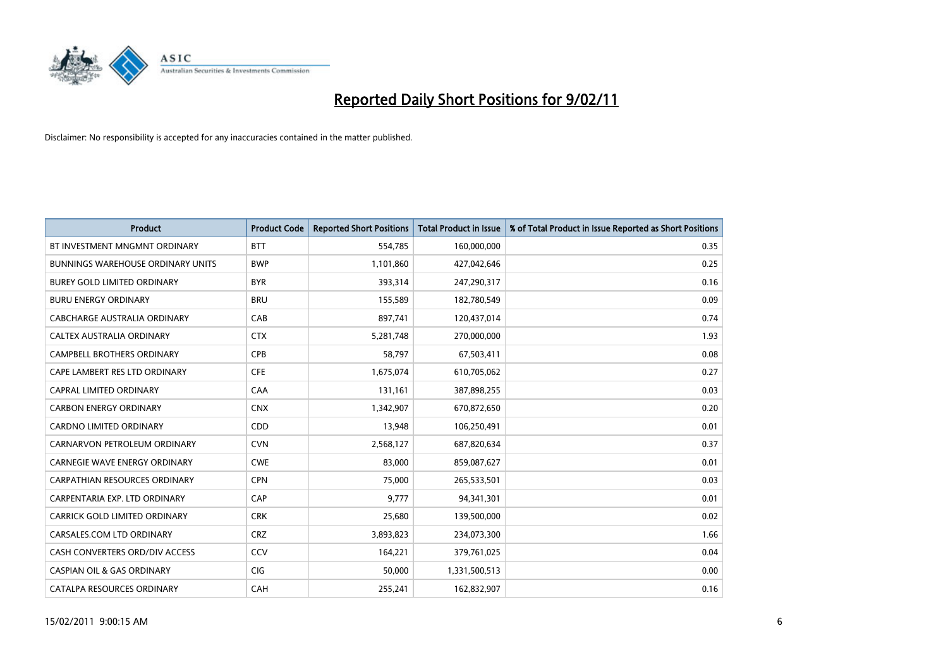

| Product                                  | <b>Product Code</b> | <b>Reported Short Positions</b> | <b>Total Product in Issue</b> | % of Total Product in Issue Reported as Short Positions |
|------------------------------------------|---------------------|---------------------------------|-------------------------------|---------------------------------------------------------|
| BT INVESTMENT MNGMNT ORDINARY            | <b>BTT</b>          | 554,785                         | 160,000,000                   | 0.35                                                    |
| <b>BUNNINGS WAREHOUSE ORDINARY UNITS</b> | <b>BWP</b>          | 1,101,860                       | 427,042,646                   | 0.25                                                    |
| <b>BUREY GOLD LIMITED ORDINARY</b>       | <b>BYR</b>          | 393,314                         | 247,290,317                   | 0.16                                                    |
| <b>BURU ENERGY ORDINARY</b>              | <b>BRU</b>          | 155,589                         | 182,780,549                   | 0.09                                                    |
| CABCHARGE AUSTRALIA ORDINARY             | CAB                 | 897,741                         | 120,437,014                   | 0.74                                                    |
| CALTEX AUSTRALIA ORDINARY                | <b>CTX</b>          | 5,281,748                       | 270,000,000                   | 1.93                                                    |
| <b>CAMPBELL BROTHERS ORDINARY</b>        | <b>CPB</b>          | 58,797                          | 67,503,411                    | 0.08                                                    |
| CAPE LAMBERT RES LTD ORDINARY            | <b>CFE</b>          | 1,675,074                       | 610,705,062                   | 0.27                                                    |
| <b>CAPRAL LIMITED ORDINARY</b>           | CAA                 | 131,161                         | 387,898,255                   | 0.03                                                    |
| <b>CARBON ENERGY ORDINARY</b>            | <b>CNX</b>          | 1,342,907                       | 670,872,650                   | 0.20                                                    |
| <b>CARDNO LIMITED ORDINARY</b>           | CDD                 | 13,948                          | 106,250,491                   | 0.01                                                    |
| CARNARVON PETROLEUM ORDINARY             | <b>CVN</b>          | 2,568,127                       | 687,820,634                   | 0.37                                                    |
| <b>CARNEGIE WAVE ENERGY ORDINARY</b>     | <b>CWE</b>          | 83,000                          | 859,087,627                   | 0.01                                                    |
| <b>CARPATHIAN RESOURCES ORDINARY</b>     | <b>CPN</b>          | 75,000                          | 265,533,501                   | 0.03                                                    |
| CARPENTARIA EXP. LTD ORDINARY            | CAP                 | 9,777                           | 94,341,301                    | 0.01                                                    |
| CARRICK GOLD LIMITED ORDINARY            | <b>CRK</b>          | 25,680                          | 139,500,000                   | 0.02                                                    |
| CARSALES.COM LTD ORDINARY                | <b>CRZ</b>          | 3,893,823                       | 234,073,300                   | 1.66                                                    |
| CASH CONVERTERS ORD/DIV ACCESS           | CCV                 | 164,221                         | 379,761,025                   | 0.04                                                    |
| <b>CASPIAN OIL &amp; GAS ORDINARY</b>    | <b>CIG</b>          | 50,000                          | 1,331,500,513                 | 0.00                                                    |
| CATALPA RESOURCES ORDINARY               | CAH                 | 255,241                         | 162,832,907                   | 0.16                                                    |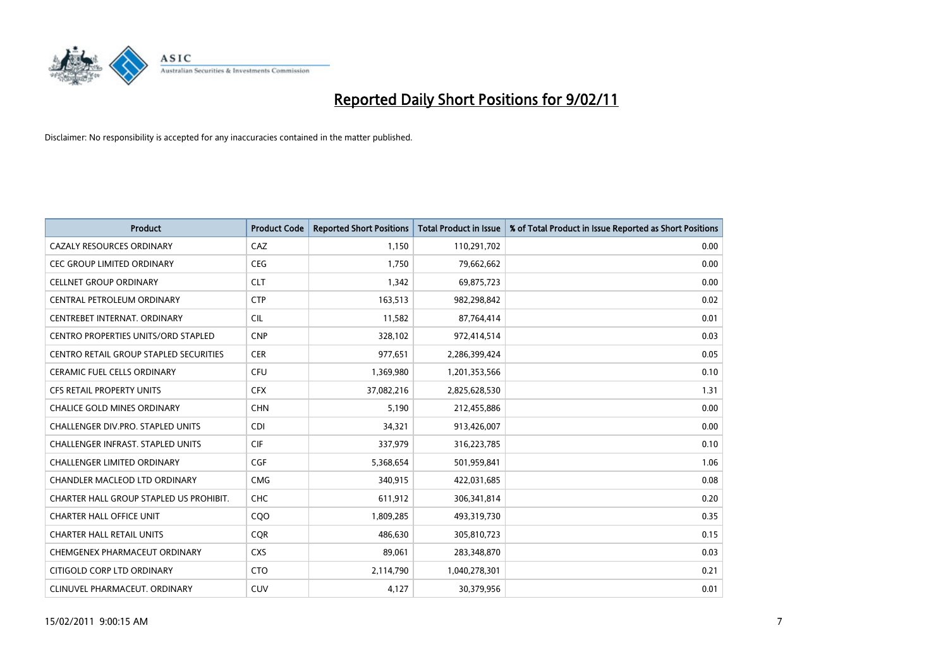

| <b>Product</b>                                | <b>Product Code</b> | <b>Reported Short Positions</b> | Total Product in Issue | % of Total Product in Issue Reported as Short Positions |
|-----------------------------------------------|---------------------|---------------------------------|------------------------|---------------------------------------------------------|
| <b>CAZALY RESOURCES ORDINARY</b>              | CAZ                 | 1,150                           | 110,291,702            | 0.00                                                    |
| CEC GROUP LIMITED ORDINARY                    | <b>CEG</b>          | 1,750                           | 79,662,662             | 0.00                                                    |
| <b>CELLNET GROUP ORDINARY</b>                 | <b>CLT</b>          | 1,342                           | 69,875,723             | 0.00                                                    |
| CENTRAL PETROLEUM ORDINARY                    | <b>CTP</b>          | 163,513                         | 982,298,842            | 0.02                                                    |
| CENTREBET INTERNAT, ORDINARY                  | <b>CIL</b>          | 11,582                          | 87,764,414             | 0.01                                                    |
| <b>CENTRO PROPERTIES UNITS/ORD STAPLED</b>    | <b>CNP</b>          | 328,102                         | 972,414,514            | 0.03                                                    |
| <b>CENTRO RETAIL GROUP STAPLED SECURITIES</b> | <b>CER</b>          | 977,651                         | 2,286,399,424          | 0.05                                                    |
| <b>CERAMIC FUEL CELLS ORDINARY</b>            | <b>CFU</b>          | 1,369,980                       | 1,201,353,566          | 0.10                                                    |
| CFS RETAIL PROPERTY UNITS                     | <b>CFX</b>          | 37,082,216                      | 2,825,628,530          | 1.31                                                    |
| <b>CHALICE GOLD MINES ORDINARY</b>            | <b>CHN</b>          | 5,190                           | 212,455,886            | 0.00                                                    |
| <b>CHALLENGER DIV.PRO. STAPLED UNITS</b>      | <b>CDI</b>          | 34,321                          | 913,426,007            | 0.00                                                    |
| <b>CHALLENGER INFRAST, STAPLED UNITS</b>      | <b>CIF</b>          | 337,979                         | 316,223,785            | 0.10                                                    |
| <b>CHALLENGER LIMITED ORDINARY</b>            | CGF                 | 5,368,654                       | 501,959,841            | 1.06                                                    |
| <b>CHANDLER MACLEOD LTD ORDINARY</b>          | <b>CMG</b>          | 340,915                         | 422,031,685            | 0.08                                                    |
| CHARTER HALL GROUP STAPLED US PROHIBIT.       | <b>CHC</b>          | 611,912                         | 306,341,814            | 0.20                                                    |
| <b>CHARTER HALL OFFICE UNIT</b>               | COO                 | 1,809,285                       | 493,319,730            | 0.35                                                    |
| <b>CHARTER HALL RETAIL UNITS</b>              | CQR                 | 486,630                         | 305,810,723            | 0.15                                                    |
| CHEMGENEX PHARMACEUT ORDINARY                 | <b>CXS</b>          | 89,061                          | 283,348,870            | 0.03                                                    |
| CITIGOLD CORP LTD ORDINARY                    | <b>CTO</b>          | 2,114,790                       | 1,040,278,301          | 0.21                                                    |
| CLINUVEL PHARMACEUT. ORDINARY                 | <b>CUV</b>          | 4,127                           | 30,379,956             | 0.01                                                    |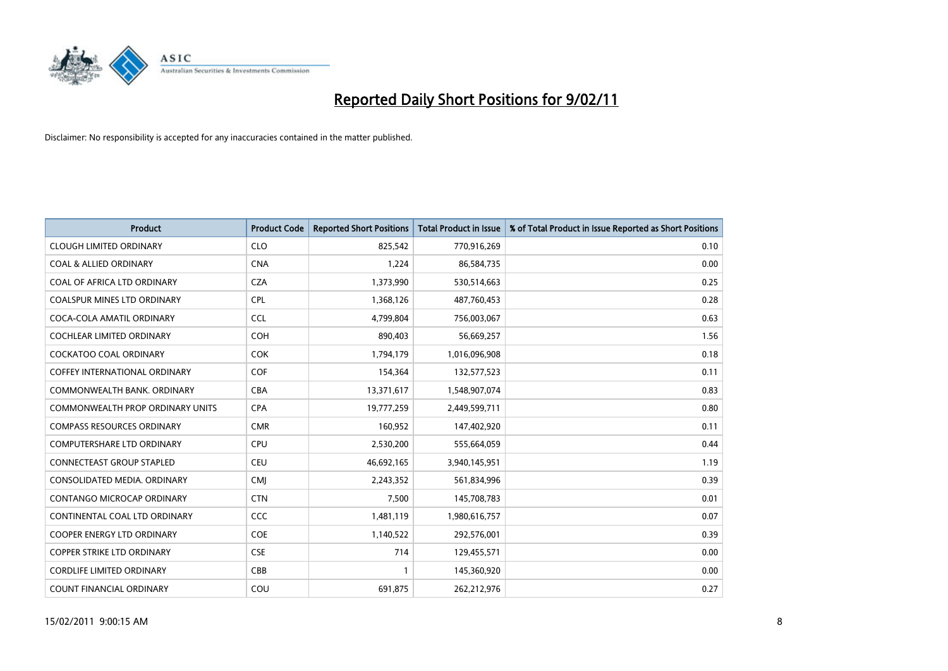

| Product                                 | <b>Product Code</b> | <b>Reported Short Positions</b> | <b>Total Product in Issue</b> | % of Total Product in Issue Reported as Short Positions |
|-----------------------------------------|---------------------|---------------------------------|-------------------------------|---------------------------------------------------------|
| <b>CLOUGH LIMITED ORDINARY</b>          | <b>CLO</b>          | 825,542                         | 770,916,269                   | 0.10                                                    |
| <b>COAL &amp; ALLIED ORDINARY</b>       | <b>CNA</b>          | 1,224                           | 86,584,735                    | 0.00                                                    |
| <b>COAL OF AFRICA LTD ORDINARY</b>      | <b>CZA</b>          | 1,373,990                       | 530,514,663                   | 0.25                                                    |
| COALSPUR MINES LTD ORDINARY             | <b>CPL</b>          | 1,368,126                       | 487,760,453                   | 0.28                                                    |
| COCA-COLA AMATIL ORDINARY               | <b>CCL</b>          | 4,799,804                       | 756,003,067                   | 0.63                                                    |
| <b>COCHLEAR LIMITED ORDINARY</b>        | <b>COH</b>          | 890,403                         | 56,669,257                    | 1.56                                                    |
| <b>COCKATOO COAL ORDINARY</b>           | <b>COK</b>          | 1,794,179                       | 1,016,096,908                 | 0.18                                                    |
| <b>COFFEY INTERNATIONAL ORDINARY</b>    | <b>COF</b>          | 154,364                         | 132,577,523                   | 0.11                                                    |
| COMMONWEALTH BANK, ORDINARY             | <b>CBA</b>          | 13,371,617                      | 1,548,907,074                 | 0.83                                                    |
| <b>COMMONWEALTH PROP ORDINARY UNITS</b> | <b>CPA</b>          | 19,777,259                      | 2,449,599,711                 | 0.80                                                    |
| <b>COMPASS RESOURCES ORDINARY</b>       | <b>CMR</b>          | 160,952                         | 147,402,920                   | 0.11                                                    |
| <b>COMPUTERSHARE LTD ORDINARY</b>       | <b>CPU</b>          | 2,530,200                       | 555,664,059                   | 0.44                                                    |
| <b>CONNECTEAST GROUP STAPLED</b>        | <b>CEU</b>          | 46,692,165                      | 3,940,145,951                 | 1.19                                                    |
| CONSOLIDATED MEDIA, ORDINARY            | <b>CMI</b>          | 2,243,352                       | 561,834,996                   | 0.39                                                    |
| <b>CONTANGO MICROCAP ORDINARY</b>       | <b>CTN</b>          | 7,500                           | 145,708,783                   | 0.01                                                    |
| CONTINENTAL COAL LTD ORDINARY           | <b>CCC</b>          | 1,481,119                       | 1,980,616,757                 | 0.07                                                    |
| <b>COOPER ENERGY LTD ORDINARY</b>       | <b>COE</b>          | 1,140,522                       | 292,576,001                   | 0.39                                                    |
| COPPER STRIKE LTD ORDINARY              | <b>CSE</b>          | 714                             | 129,455,571                   | 0.00                                                    |
| <b>CORDLIFE LIMITED ORDINARY</b>        | CBB                 |                                 | 145,360,920                   | 0.00                                                    |
| <b>COUNT FINANCIAL ORDINARY</b>         | COU                 | 691,875                         | 262,212,976                   | 0.27                                                    |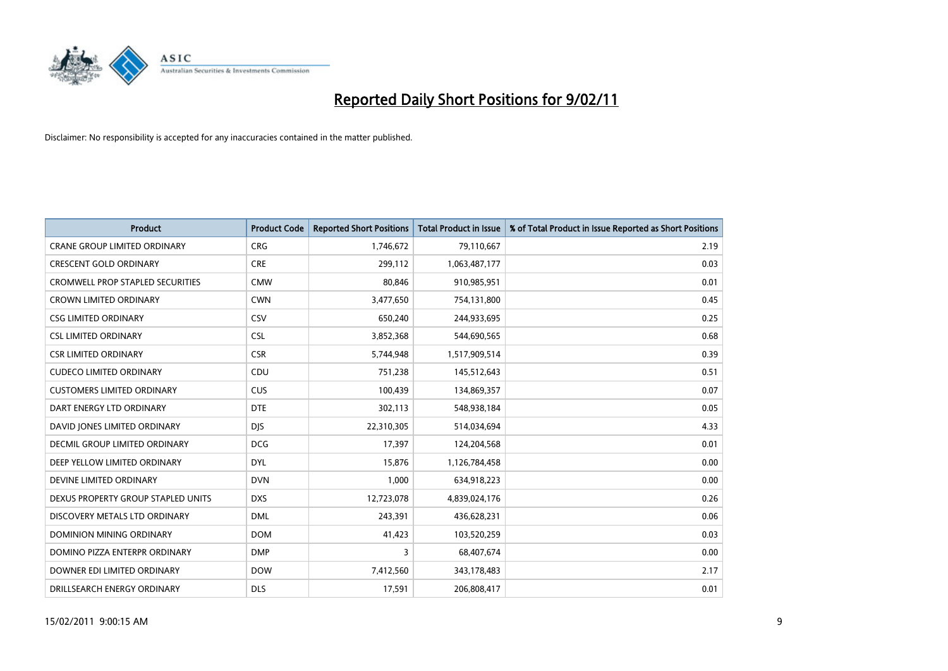

| Product                                 | <b>Product Code</b> | <b>Reported Short Positions</b> | <b>Total Product in Issue</b> | % of Total Product in Issue Reported as Short Positions |
|-----------------------------------------|---------------------|---------------------------------|-------------------------------|---------------------------------------------------------|
| <b>CRANE GROUP LIMITED ORDINARY</b>     | <b>CRG</b>          | 1,746,672                       | 79,110,667                    | 2.19                                                    |
| <b>CRESCENT GOLD ORDINARY</b>           | <b>CRE</b>          | 299,112                         | 1,063,487,177                 | 0.03                                                    |
| <b>CROMWELL PROP STAPLED SECURITIES</b> | <b>CMW</b>          | 80,846                          | 910,985,951                   | 0.01                                                    |
| <b>CROWN LIMITED ORDINARY</b>           | <b>CWN</b>          | 3,477,650                       | 754,131,800                   | 0.45                                                    |
| <b>CSG LIMITED ORDINARY</b>             | CSV                 | 650,240                         | 244,933,695                   | 0.25                                                    |
| <b>CSL LIMITED ORDINARY</b>             | <b>CSL</b>          | 3,852,368                       | 544,690,565                   | 0.68                                                    |
| <b>CSR LIMITED ORDINARY</b>             | <b>CSR</b>          | 5,744,948                       | 1,517,909,514                 | 0.39                                                    |
| <b>CUDECO LIMITED ORDINARY</b>          | CDU                 | 751,238                         | 145,512,643                   | 0.51                                                    |
| <b>CUSTOMERS LIMITED ORDINARY</b>       | <b>CUS</b>          | 100,439                         | 134,869,357                   | 0.07                                                    |
| DART ENERGY LTD ORDINARY                | <b>DTE</b>          | 302,113                         | 548,938,184                   | 0.05                                                    |
| DAVID JONES LIMITED ORDINARY            | <b>DJS</b>          | 22,310,305                      | 514,034,694                   | 4.33                                                    |
| <b>DECMIL GROUP LIMITED ORDINARY</b>    | <b>DCG</b>          | 17,397                          | 124,204,568                   | 0.01                                                    |
| DEEP YELLOW LIMITED ORDINARY            | <b>DYL</b>          | 15,876                          | 1,126,784,458                 | 0.00                                                    |
| DEVINE LIMITED ORDINARY                 | <b>DVN</b>          | 1,000                           | 634,918,223                   | 0.00                                                    |
| DEXUS PROPERTY GROUP STAPLED UNITS      | <b>DXS</b>          | 12,723,078                      | 4,839,024,176                 | 0.26                                                    |
| DISCOVERY METALS LTD ORDINARY           | <b>DML</b>          | 243,391                         | 436,628,231                   | 0.06                                                    |
| DOMINION MINING ORDINARY                | <b>DOM</b>          | 41,423                          | 103,520,259                   | 0.03                                                    |
| DOMINO PIZZA ENTERPR ORDINARY           | <b>DMP</b>          | 3                               | 68,407,674                    | 0.00                                                    |
| DOWNER EDI LIMITED ORDINARY             | <b>DOW</b>          | 7,412,560                       | 343,178,483                   | 2.17                                                    |
| DRILLSEARCH ENERGY ORDINARY             | <b>DLS</b>          | 17,591                          | 206,808,417                   | 0.01                                                    |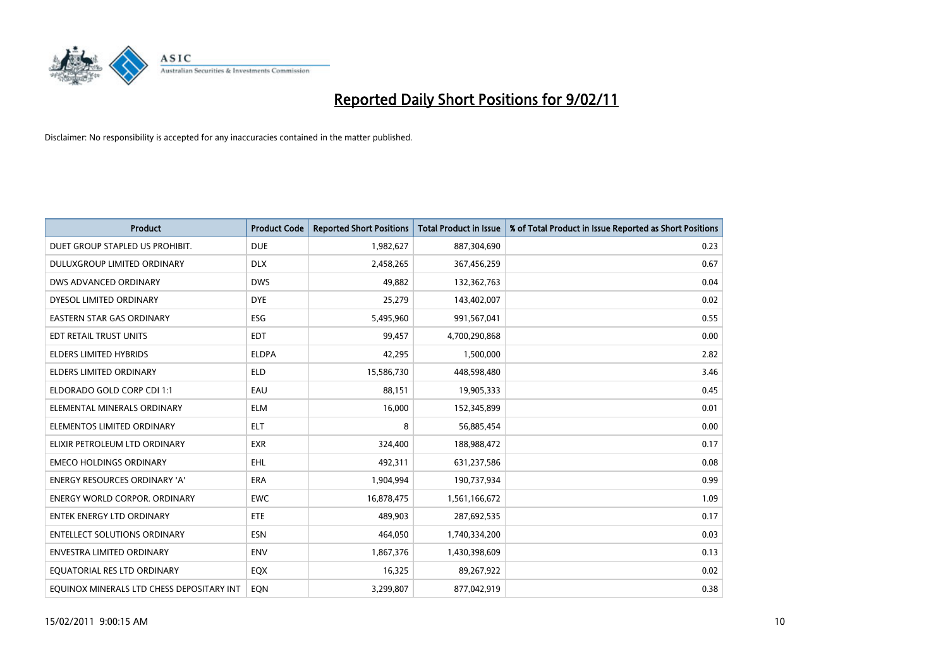

| Product                                   | <b>Product Code</b> | <b>Reported Short Positions</b> | <b>Total Product in Issue</b> | % of Total Product in Issue Reported as Short Positions |
|-------------------------------------------|---------------------|---------------------------------|-------------------------------|---------------------------------------------------------|
| DUET GROUP STAPLED US PROHIBIT.           | <b>DUE</b>          | 1,982,627                       | 887,304,690                   | 0.23                                                    |
| <b>DULUXGROUP LIMITED ORDINARY</b>        | <b>DLX</b>          | 2,458,265                       | 367,456,259                   | 0.67                                                    |
| DWS ADVANCED ORDINARY                     | <b>DWS</b>          | 49,882                          | 132,362,763                   | 0.04                                                    |
| DYESOL LIMITED ORDINARY                   | <b>DYE</b>          | 25,279                          | 143,402,007                   | 0.02                                                    |
| <b>EASTERN STAR GAS ORDINARY</b>          | ESG                 | 5,495,960                       | 991,567,041                   | 0.55                                                    |
| EDT RETAIL TRUST UNITS                    | <b>EDT</b>          | 99,457                          | 4,700,290,868                 | 0.00                                                    |
| <b>ELDERS LIMITED HYBRIDS</b>             | <b>ELDPA</b>        | 42,295                          | 1,500,000                     | 2.82                                                    |
| <b>ELDERS LIMITED ORDINARY</b>            | <b>ELD</b>          | 15,586,730                      | 448,598,480                   | 3.46                                                    |
| ELDORADO GOLD CORP CDI 1:1                | EAU                 | 88,151                          | 19,905,333                    | 0.45                                                    |
| ELEMENTAL MINERALS ORDINARY               | <b>ELM</b>          | 16,000                          | 152,345,899                   | 0.01                                                    |
| ELEMENTOS LIMITED ORDINARY                | <b>ELT</b>          | 8                               | 56,885,454                    | 0.00                                                    |
| ELIXIR PETROLEUM LTD ORDINARY             | <b>EXR</b>          | 324,400                         | 188,988,472                   | 0.17                                                    |
| <b>EMECO HOLDINGS ORDINARY</b>            | <b>EHL</b>          | 492,311                         | 631,237,586                   | 0.08                                                    |
| <b>ENERGY RESOURCES ORDINARY 'A'</b>      | <b>ERA</b>          | 1,904,994                       | 190,737,934                   | 0.99                                                    |
| <b>ENERGY WORLD CORPOR, ORDINARY</b>      | <b>EWC</b>          | 16,878,475                      | 1,561,166,672                 | 1.09                                                    |
| <b>ENTEK ENERGY LTD ORDINARY</b>          | <b>ETE</b>          | 489.903                         | 287,692,535                   | 0.17                                                    |
| <b>ENTELLECT SOLUTIONS ORDINARY</b>       | <b>ESN</b>          | 464,050                         | 1,740,334,200                 | 0.03                                                    |
| ENVESTRA LIMITED ORDINARY                 | <b>ENV</b>          | 1,867,376                       | 1,430,398,609                 | 0.13                                                    |
| EQUATORIAL RES LTD ORDINARY               | EQX                 | 16,325                          | 89,267,922                    | 0.02                                                    |
| EOUINOX MINERALS LTD CHESS DEPOSITARY INT | EON                 | 3,299,807                       | 877,042,919                   | 0.38                                                    |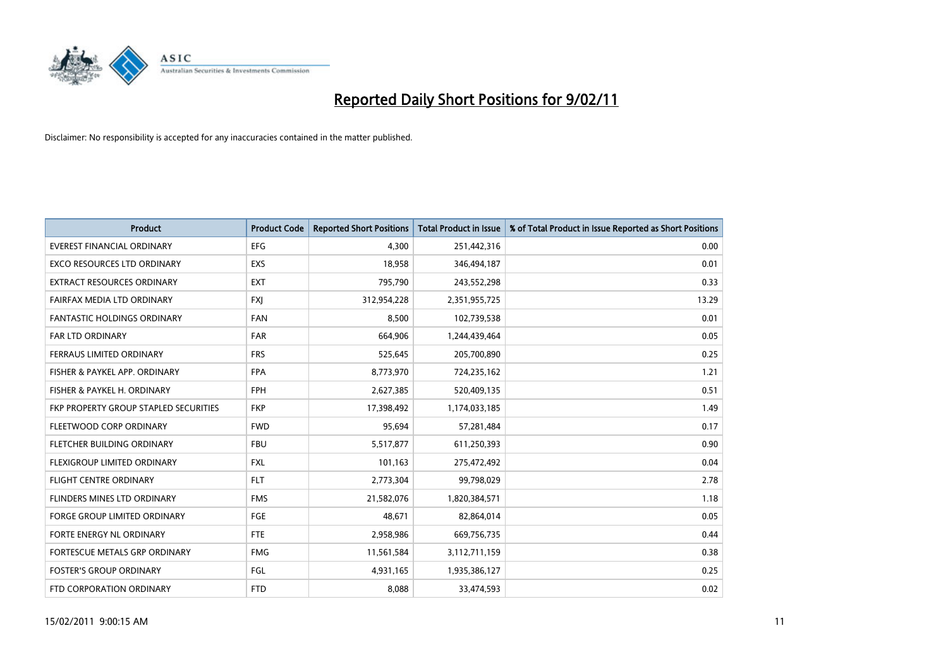

| <b>Product</b>                               | <b>Product Code</b> | <b>Reported Short Positions</b> | Total Product in Issue | % of Total Product in Issue Reported as Short Positions |
|----------------------------------------------|---------------------|---------------------------------|------------------------|---------------------------------------------------------|
| <b>EVEREST FINANCIAL ORDINARY</b>            | <b>EFG</b>          | 4,300                           | 251,442,316            | 0.00                                                    |
| EXCO RESOURCES LTD ORDINARY                  | EXS                 | 18,958                          | 346,494,187            | 0.01                                                    |
| <b>EXTRACT RESOURCES ORDINARY</b>            | <b>EXT</b>          | 795,790                         | 243,552,298            | 0.33                                                    |
| FAIRFAX MEDIA LTD ORDINARY                   | <b>FXI</b>          | 312,954,228                     | 2,351,955,725          | 13.29                                                   |
| <b>FANTASTIC HOLDINGS ORDINARY</b>           | <b>FAN</b>          | 8,500                           | 102,739,538            | 0.01                                                    |
| FAR LTD ORDINARY                             | <b>FAR</b>          | 664,906                         | 1,244,439,464          | 0.05                                                    |
| FERRAUS LIMITED ORDINARY                     | <b>FRS</b>          | 525,645                         | 205,700,890            | 0.25                                                    |
| FISHER & PAYKEL APP. ORDINARY                | <b>FPA</b>          | 8,773,970                       | 724,235,162            | 1.21                                                    |
| FISHER & PAYKEL H. ORDINARY                  | <b>FPH</b>          | 2,627,385                       | 520,409,135            | 0.51                                                    |
| <b>FKP PROPERTY GROUP STAPLED SECURITIES</b> | <b>FKP</b>          | 17,398,492                      | 1,174,033,185          | 1.49                                                    |
| FLEETWOOD CORP ORDINARY                      | <b>FWD</b>          | 95,694                          | 57,281,484             | 0.17                                                    |
| FLETCHER BUILDING ORDINARY                   | <b>FBU</b>          | 5,517,877                       | 611,250,393            | 0.90                                                    |
| FLEXIGROUP LIMITED ORDINARY                  | <b>FXL</b>          | 101,163                         | 275,472,492            | 0.04                                                    |
| <b>FLIGHT CENTRE ORDINARY</b>                | <b>FLT</b>          | 2,773,304                       | 99,798,029             | 2.78                                                    |
| FLINDERS MINES LTD ORDINARY                  | <b>FMS</b>          | 21,582,076                      | 1,820,384,571          | 1.18                                                    |
| FORGE GROUP LIMITED ORDINARY                 | FGE                 | 48,671                          | 82,864,014             | 0.05                                                    |
| FORTE ENERGY NL ORDINARY                     | FTE                 | 2,958,986                       | 669,756,735            | 0.44                                                    |
| FORTESCUE METALS GRP ORDINARY                | <b>FMG</b>          | 11,561,584                      | 3,112,711,159          | 0.38                                                    |
| <b>FOSTER'S GROUP ORDINARY</b>               | <b>FGL</b>          | 4,931,165                       | 1,935,386,127          | 0.25                                                    |
| FTD CORPORATION ORDINARY                     | <b>FTD</b>          | 8.088                           | 33,474,593             | 0.02                                                    |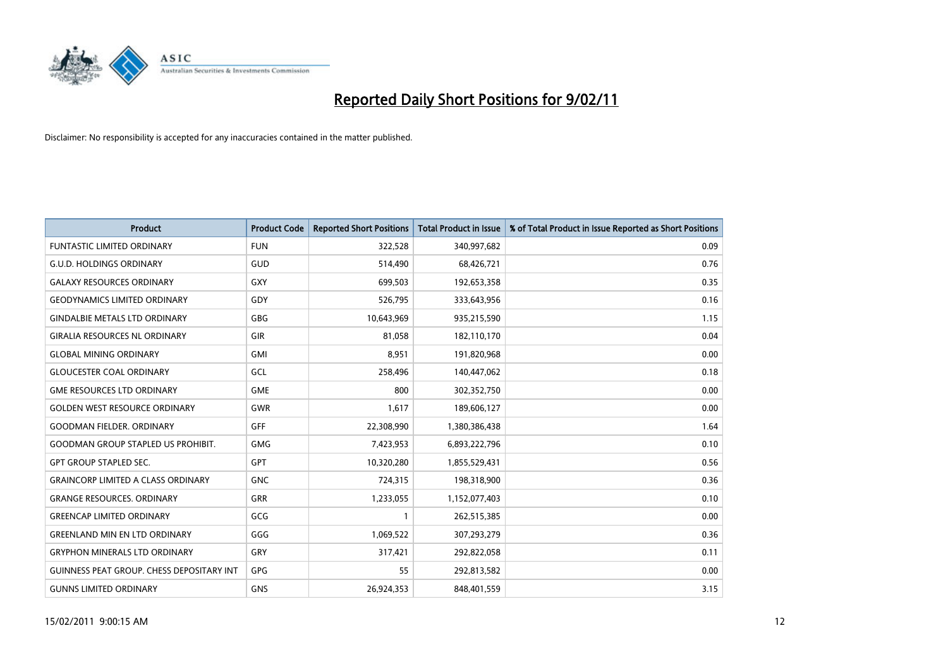

| <b>Product</b>                                   | <b>Product Code</b> | <b>Reported Short Positions</b> | Total Product in Issue | % of Total Product in Issue Reported as Short Positions |
|--------------------------------------------------|---------------------|---------------------------------|------------------------|---------------------------------------------------------|
| <b>FUNTASTIC LIMITED ORDINARY</b>                | <b>FUN</b>          | 322,528                         | 340,997,682            | 0.09                                                    |
| <b>G.U.D. HOLDINGS ORDINARY</b>                  | GUD                 | 514,490                         | 68,426,721             | 0.76                                                    |
| <b>GALAXY RESOURCES ORDINARY</b>                 | GXY                 | 699,503                         | 192,653,358            | 0.35                                                    |
| <b>GEODYNAMICS LIMITED ORDINARY</b>              | GDY                 | 526,795                         | 333,643,956            | 0.16                                                    |
| <b>GINDALBIE METALS LTD ORDINARY</b>             | <b>GBG</b>          | 10,643,969                      | 935,215,590            | 1.15                                                    |
| <b>GIRALIA RESOURCES NL ORDINARY</b>             | GIR                 | 81.058                          | 182,110,170            | 0.04                                                    |
| <b>GLOBAL MINING ORDINARY</b>                    | <b>GMI</b>          | 8,951                           | 191,820,968            | 0.00                                                    |
| <b>GLOUCESTER COAL ORDINARY</b>                  | GCL                 | 258,496                         | 140,447,062            | 0.18                                                    |
| <b>GME RESOURCES LTD ORDINARY</b>                | <b>GME</b>          | 800                             | 302,352,750            | 0.00                                                    |
| <b>GOLDEN WEST RESOURCE ORDINARY</b>             | GWR                 | 1,617                           | 189,606,127            | 0.00                                                    |
| <b>GOODMAN FIELDER, ORDINARY</b>                 | GFF                 | 22,308,990                      | 1,380,386,438          | 1.64                                                    |
| <b>GOODMAN GROUP STAPLED US PROHIBIT.</b>        | GMG                 | 7,423,953                       | 6,893,222,796          | 0.10                                                    |
| <b>GPT GROUP STAPLED SEC.</b>                    | <b>GPT</b>          | 10,320,280                      | 1,855,529,431          | 0.56                                                    |
| <b>GRAINCORP LIMITED A CLASS ORDINARY</b>        | <b>GNC</b>          | 724,315                         | 198,318,900            | 0.36                                                    |
| <b>GRANGE RESOURCES, ORDINARY</b>                | <b>GRR</b>          | 1,233,055                       | 1,152,077,403          | 0.10                                                    |
| <b>GREENCAP LIMITED ORDINARY</b>                 | GCG                 |                                 | 262,515,385            | 0.00                                                    |
| <b>GREENLAND MIN EN LTD ORDINARY</b>             | GGG                 | 1,069,522                       | 307,293,279            | 0.36                                                    |
| <b>GRYPHON MINERALS LTD ORDINARY</b>             | GRY                 | 317,421                         | 292,822,058            | 0.11                                                    |
| <b>GUINNESS PEAT GROUP. CHESS DEPOSITARY INT</b> | <b>GPG</b>          | 55                              | 292,813,582            | 0.00                                                    |
| <b>GUNNS LIMITED ORDINARY</b>                    | <b>GNS</b>          | 26,924,353                      | 848,401,559            | 3.15                                                    |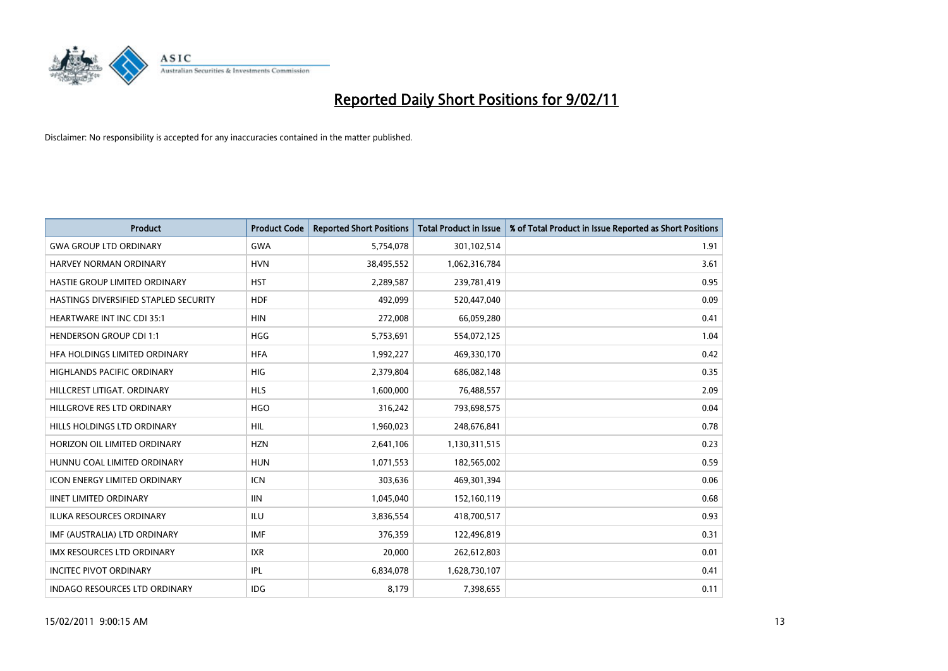

| Product                               | <b>Product Code</b> | <b>Reported Short Positions</b> | <b>Total Product in Issue</b> | % of Total Product in Issue Reported as Short Positions |
|---------------------------------------|---------------------|---------------------------------|-------------------------------|---------------------------------------------------------|
| <b>GWA GROUP LTD ORDINARY</b>         | <b>GWA</b>          | 5,754,078                       | 301,102,514                   | 1.91                                                    |
| HARVEY NORMAN ORDINARY                | <b>HVN</b>          | 38,495,552                      | 1,062,316,784                 | 3.61                                                    |
| HASTIE GROUP LIMITED ORDINARY         | <b>HST</b>          | 2,289,587                       | 239,781,419                   | 0.95                                                    |
| HASTINGS DIVERSIFIED STAPLED SECURITY | <b>HDF</b>          | 492,099                         | 520,447,040                   | 0.09                                                    |
| <b>HEARTWARE INT INC CDI 35:1</b>     | <b>HIN</b>          | 272,008                         | 66,059,280                    | 0.41                                                    |
| <b>HENDERSON GROUP CDI 1:1</b>        | <b>HGG</b>          | 5,753,691                       | 554,072,125                   | 1.04                                                    |
| HEA HOLDINGS LIMITED ORDINARY         | <b>HFA</b>          | 1,992,227                       | 469,330,170                   | 0.42                                                    |
| HIGHLANDS PACIFIC ORDINARY            | <b>HIG</b>          | 2,379,804                       | 686,082,148                   | 0.35                                                    |
| HILLCREST LITIGAT. ORDINARY           | <b>HLS</b>          | 1,600,000                       | 76,488,557                    | 2.09                                                    |
| HILLGROVE RES LTD ORDINARY            | <b>HGO</b>          | 316,242                         | 793,698,575                   | 0.04                                                    |
| HILLS HOLDINGS LTD ORDINARY           | <b>HIL</b>          | 1,960,023                       | 248,676,841                   | 0.78                                                    |
| HORIZON OIL LIMITED ORDINARY          | <b>HZN</b>          | 2,641,106                       | 1,130,311,515                 | 0.23                                                    |
| HUNNU COAL LIMITED ORDINARY           | <b>HUN</b>          | 1,071,553                       | 182,565,002                   | 0.59                                                    |
| <b>ICON ENERGY LIMITED ORDINARY</b>   | <b>ICN</b>          | 303,636                         | 469,301,394                   | 0.06                                                    |
| <b>IINET LIMITED ORDINARY</b>         | <b>IIN</b>          | 1,045,040                       | 152,160,119                   | 0.68                                                    |
| <b>ILUKA RESOURCES ORDINARY</b>       | ILU                 | 3,836,554                       | 418,700,517                   | 0.93                                                    |
| IMF (AUSTRALIA) LTD ORDINARY          | <b>IMF</b>          | 376,359                         | 122,496,819                   | 0.31                                                    |
| IMX RESOURCES LTD ORDINARY            | <b>IXR</b>          | 20,000                          | 262,612,803                   | 0.01                                                    |
| <b>INCITEC PIVOT ORDINARY</b>         | IPL                 | 6,834,078                       | 1,628,730,107                 | 0.41                                                    |
| INDAGO RESOURCES LTD ORDINARY         | <b>IDG</b>          | 8,179                           | 7,398,655                     | 0.11                                                    |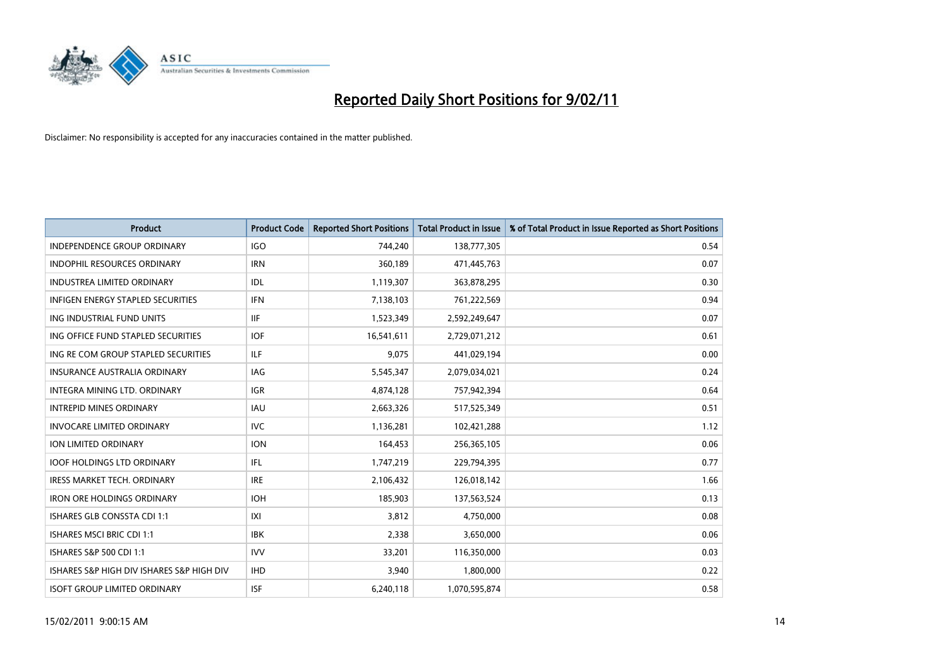

| <b>Product</b>                            | <b>Product Code</b> | <b>Reported Short Positions</b> | Total Product in Issue | % of Total Product in Issue Reported as Short Positions |
|-------------------------------------------|---------------------|---------------------------------|------------------------|---------------------------------------------------------|
| <b>INDEPENDENCE GROUP ORDINARY</b>        | <b>IGO</b>          | 744,240                         | 138,777,305            | 0.54                                                    |
| <b>INDOPHIL RESOURCES ORDINARY</b>        | <b>IRN</b>          | 360.189                         | 471,445,763            | 0.07                                                    |
| <b>INDUSTREA LIMITED ORDINARY</b>         | IDL                 | 1,119,307                       | 363,878,295            | 0.30                                                    |
| INFIGEN ENERGY STAPLED SECURITIES         | <b>IFN</b>          | 7,138,103                       | 761,222,569            | 0.94                                                    |
| ING INDUSTRIAL FUND UNITS                 | <b>IIF</b>          | 1,523,349                       | 2,592,249,647          | 0.07                                                    |
| ING OFFICE FUND STAPLED SECURITIES        | <b>IOF</b>          | 16,541,611                      | 2,729,071,212          | 0.61                                                    |
| ING RE COM GROUP STAPLED SECURITIES       | ILF.                | 9.075                           | 441,029,194            | 0.00                                                    |
| <b>INSURANCE AUSTRALIA ORDINARY</b>       | <b>IAG</b>          | 5,545,347                       | 2,079,034,021          | 0.24                                                    |
| INTEGRA MINING LTD. ORDINARY              | <b>IGR</b>          | 4,874,128                       | 757,942,394            | 0.64                                                    |
| <b>INTREPID MINES ORDINARY</b>            | <b>IAU</b>          | 2,663,326                       | 517,525,349            | 0.51                                                    |
| <b>INVOCARE LIMITED ORDINARY</b>          | <b>IVC</b>          | 1,136,281                       | 102,421,288            | 1.12                                                    |
| <b>ION LIMITED ORDINARY</b>               | <b>ION</b>          | 164,453                         | 256,365,105            | 0.06                                                    |
| <b>IOOF HOLDINGS LTD ORDINARY</b>         | IFL                 | 1,747,219                       | 229,794,395            | 0.77                                                    |
| <b>IRESS MARKET TECH. ORDINARY</b>        | <b>IRE</b>          | 2,106,432                       | 126,018,142            | 1.66                                                    |
| <b>IRON ORE HOLDINGS ORDINARY</b>         | <b>IOH</b>          | 185,903                         | 137,563,524            | 0.13                                                    |
| <b>ISHARES GLB CONSSTA CDI 1:1</b>        | X                   | 3,812                           | 4,750,000              | 0.08                                                    |
| <b>ISHARES MSCI BRIC CDI 1:1</b>          | <b>IBK</b>          | 2,338                           | 3,650,000              | 0.06                                                    |
| ISHARES S&P 500 CDI 1:1                   | <b>IVV</b>          | 33,201                          | 116,350,000            | 0.03                                                    |
| ISHARES S&P HIGH DIV ISHARES S&P HIGH DIV | <b>IHD</b>          | 3,940                           | 1,800,000              | 0.22                                                    |
| <b>ISOFT GROUP LIMITED ORDINARY</b>       | <b>ISF</b>          | 6,240,118                       | 1,070,595,874          | 0.58                                                    |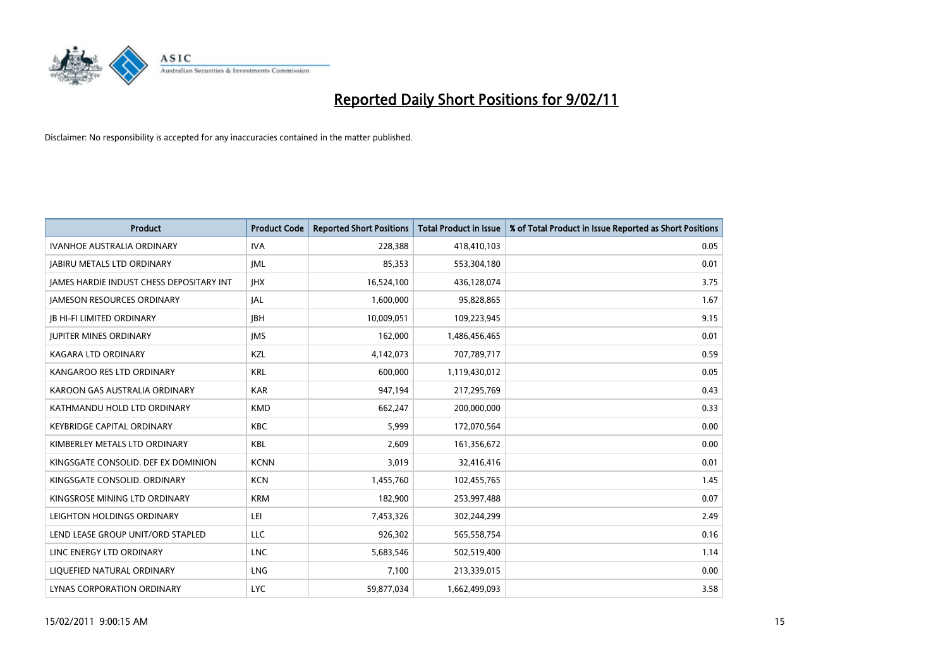

| Product                                         | <b>Product Code</b> | <b>Reported Short Positions</b> | <b>Total Product in Issue</b> | % of Total Product in Issue Reported as Short Positions |
|-------------------------------------------------|---------------------|---------------------------------|-------------------------------|---------------------------------------------------------|
| <b>IVANHOE AUSTRALIA ORDINARY</b>               | <b>IVA</b>          | 228,388                         | 418,410,103                   | 0.05                                                    |
| <b>JABIRU METALS LTD ORDINARY</b>               | IML                 | 85,353                          | 553,304,180                   | 0.01                                                    |
| <b>JAMES HARDIE INDUST CHESS DEPOSITARY INT</b> | <b>JHX</b>          | 16,524,100                      | 436,128,074                   | 3.75                                                    |
| <b>JAMESON RESOURCES ORDINARY</b>               | <b>JAL</b>          | 1,600,000                       | 95,828,865                    | 1.67                                                    |
| <b>IB HI-FI LIMITED ORDINARY</b>                | <b>IBH</b>          | 10,009,051                      | 109,223,945                   | 9.15                                                    |
| <b>JUPITER MINES ORDINARY</b>                   | <b>IMS</b>          | 162,000                         | 1,486,456,465                 | 0.01                                                    |
| KAGARA LTD ORDINARY                             | KZL                 | 4,142,073                       | 707,789,717                   | 0.59                                                    |
| KANGAROO RES LTD ORDINARY                       | <b>KRL</b>          | 600,000                         | 1,119,430,012                 | 0.05                                                    |
| KAROON GAS AUSTRALIA ORDINARY                   | <b>KAR</b>          | 947,194                         | 217,295,769                   | 0.43                                                    |
| KATHMANDU HOLD LTD ORDINARY                     | <b>KMD</b>          | 662,247                         | 200,000,000                   | 0.33                                                    |
| <b>KEYBRIDGE CAPITAL ORDINARY</b>               | <b>KBC</b>          | 5,999                           | 172,070,564                   | 0.00                                                    |
| KIMBERLEY METALS LTD ORDINARY                   | <b>KBL</b>          | 2,609                           | 161,356,672                   | 0.00                                                    |
| KINGSGATE CONSOLID. DEF EX DOMINION             | <b>KCNN</b>         | 3,019                           | 32,416,416                    | 0.01                                                    |
| KINGSGATE CONSOLID. ORDINARY                    | <b>KCN</b>          | 1,455,760                       | 102,455,765                   | 1.45                                                    |
| KINGSROSE MINING LTD ORDINARY                   | <b>KRM</b>          | 182,900                         | 253,997,488                   | 0.07                                                    |
| LEIGHTON HOLDINGS ORDINARY                      | LEI                 | 7,453,326                       | 302,244,299                   | 2.49                                                    |
| LEND LEASE GROUP UNIT/ORD STAPLED               | LLC                 | 926,302                         | 565,558,754                   | 0.16                                                    |
| LINC ENERGY LTD ORDINARY                        | <b>LNC</b>          | 5,683,546                       | 502,519,400                   | 1.14                                                    |
| LIOUEFIED NATURAL ORDINARY                      | <b>LNG</b>          | 7,100                           | 213,339,015                   | 0.00                                                    |
| LYNAS CORPORATION ORDINARY                      | <b>LYC</b>          | 59,877,034                      | 1,662,499,093                 | 3.58                                                    |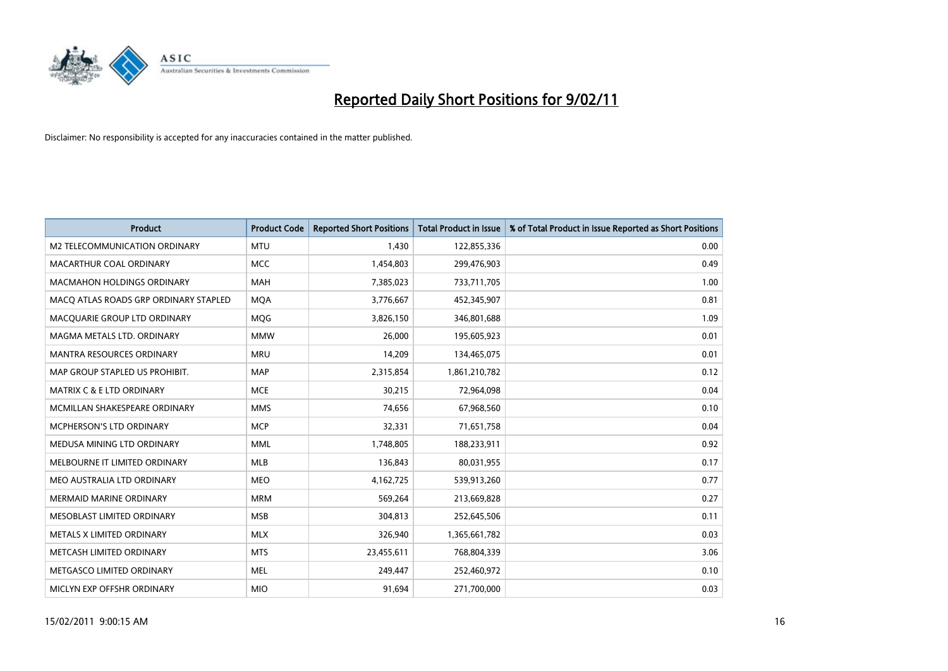

| <b>Product</b>                        | <b>Product Code</b> | <b>Reported Short Positions</b> | <b>Total Product in Issue</b> | % of Total Product in Issue Reported as Short Positions |
|---------------------------------------|---------------------|---------------------------------|-------------------------------|---------------------------------------------------------|
| M2 TELECOMMUNICATION ORDINARY         | <b>MTU</b>          | 1,430                           | 122,855,336                   | 0.00                                                    |
| MACARTHUR COAL ORDINARY               | <b>MCC</b>          | 1,454,803                       | 299,476,903                   | 0.49                                                    |
| <b>MACMAHON HOLDINGS ORDINARY</b>     | <b>MAH</b>          | 7,385,023                       | 733,711,705                   | 1.00                                                    |
| MACQ ATLAS ROADS GRP ORDINARY STAPLED | <b>MOA</b>          | 3,776,667                       | 452,345,907                   | 0.81                                                    |
| MACQUARIE GROUP LTD ORDINARY          | <b>MOG</b>          | 3,826,150                       | 346,801,688                   | 1.09                                                    |
| MAGMA METALS LTD. ORDINARY            | <b>MMW</b>          | 26,000                          | 195,605,923                   | 0.01                                                    |
| <b>MANTRA RESOURCES ORDINARY</b>      | <b>MRU</b>          | 14,209                          | 134,465,075                   | 0.01                                                    |
| MAP GROUP STAPLED US PROHIBIT.        | <b>MAP</b>          | 2,315,854                       | 1,861,210,782                 | 0.12                                                    |
| MATRIX C & E LTD ORDINARY             | <b>MCE</b>          | 30,215                          | 72,964,098                    | 0.04                                                    |
| MCMILLAN SHAKESPEARE ORDINARY         | <b>MMS</b>          | 74,656                          | 67,968,560                    | 0.10                                                    |
| MCPHERSON'S LTD ORDINARY              | <b>MCP</b>          | 32,331                          | 71,651,758                    | 0.04                                                    |
| MEDUSA MINING LTD ORDINARY            | <b>MML</b>          | 1,748,805                       | 188,233,911                   | 0.92                                                    |
| MELBOURNE IT LIMITED ORDINARY         | <b>MLB</b>          | 136,843                         | 80,031,955                    | 0.17                                                    |
| MEO AUSTRALIA LTD ORDINARY            | <b>MEO</b>          | 4,162,725                       | 539,913,260                   | 0.77                                                    |
| <b>MERMAID MARINE ORDINARY</b>        | <b>MRM</b>          | 569,264                         | 213,669,828                   | 0.27                                                    |
| MESOBLAST LIMITED ORDINARY            | <b>MSB</b>          | 304,813                         | 252,645,506                   | 0.11                                                    |
| METALS X LIMITED ORDINARY             | <b>MLX</b>          | 326,940                         | 1,365,661,782                 | 0.03                                                    |
| METCASH LIMITED ORDINARY              | <b>MTS</b>          | 23,455,611                      | 768,804,339                   | 3.06                                                    |
| METGASCO LIMITED ORDINARY             | <b>MEL</b>          | 249,447                         | 252,460,972                   | 0.10                                                    |
| MICLYN EXP OFFSHR ORDINARY            | <b>MIO</b>          | 91,694                          | 271,700,000                   | 0.03                                                    |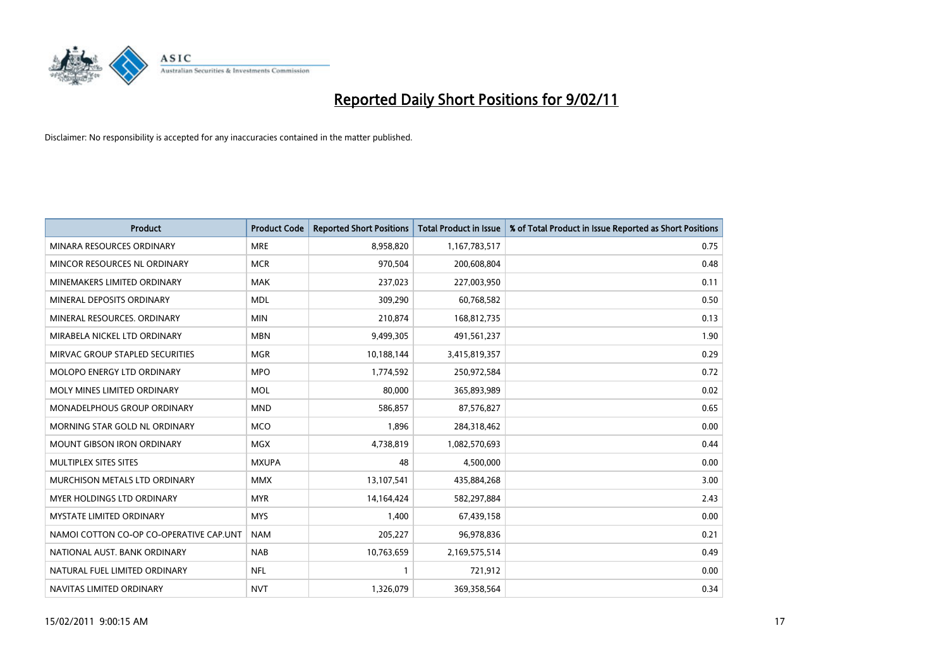

| Product                                 | <b>Product Code</b> | <b>Reported Short Positions</b> | <b>Total Product in Issue</b> | % of Total Product in Issue Reported as Short Positions |
|-----------------------------------------|---------------------|---------------------------------|-------------------------------|---------------------------------------------------------|
| MINARA RESOURCES ORDINARY               | <b>MRE</b>          | 8,958,820                       | 1,167,783,517                 | 0.75                                                    |
| MINCOR RESOURCES NL ORDINARY            | <b>MCR</b>          | 970,504                         | 200,608,804                   | 0.48                                                    |
| MINEMAKERS LIMITED ORDINARY             | <b>MAK</b>          | 237,023                         | 227,003,950                   | 0.11                                                    |
| MINERAL DEPOSITS ORDINARY               | <b>MDL</b>          | 309,290                         | 60,768,582                    | 0.50                                                    |
| MINERAL RESOURCES, ORDINARY             | <b>MIN</b>          | 210,874                         | 168,812,735                   | 0.13                                                    |
| MIRABELA NICKEL LTD ORDINARY            | <b>MBN</b>          | 9,499,305                       | 491,561,237                   | 1.90                                                    |
| MIRVAC GROUP STAPLED SECURITIES         | <b>MGR</b>          | 10,188,144                      | 3,415,819,357                 | 0.29                                                    |
| <b>MOLOPO ENERGY LTD ORDINARY</b>       | <b>MPO</b>          | 1,774,592                       | 250,972,584                   | 0.72                                                    |
| MOLY MINES LIMITED ORDINARY             | <b>MOL</b>          | 80,000                          | 365,893,989                   | 0.02                                                    |
| MONADELPHOUS GROUP ORDINARY             | <b>MND</b>          | 586,857                         | 87,576,827                    | 0.65                                                    |
| MORNING STAR GOLD NL ORDINARY           | <b>MCO</b>          | 1,896                           | 284,318,462                   | 0.00                                                    |
| <b>MOUNT GIBSON IRON ORDINARY</b>       | <b>MGX</b>          | 4,738,819                       | 1,082,570,693                 | 0.44                                                    |
| MULTIPLEX SITES SITES                   | <b>MXUPA</b>        | 48                              | 4,500,000                     | 0.00                                                    |
| MURCHISON METALS LTD ORDINARY           | <b>MMX</b>          | 13,107,541                      | 435,884,268                   | 3.00                                                    |
| MYER HOLDINGS LTD ORDINARY              | <b>MYR</b>          | 14,164,424                      | 582,297,884                   | 2.43                                                    |
| <b>MYSTATE LIMITED ORDINARY</b>         | <b>MYS</b>          | 1.400                           | 67,439,158                    | 0.00                                                    |
| NAMOI COTTON CO-OP CO-OPERATIVE CAP.UNT | <b>NAM</b>          | 205,227                         | 96,978,836                    | 0.21                                                    |
| NATIONAL AUST. BANK ORDINARY            | <b>NAB</b>          | 10,763,659                      | 2,169,575,514                 | 0.49                                                    |
| NATURAL FUEL LIMITED ORDINARY           | <b>NFL</b>          |                                 | 721,912                       | 0.00                                                    |
| NAVITAS LIMITED ORDINARY                | <b>NVT</b>          | 1,326,079                       | 369,358,564                   | 0.34                                                    |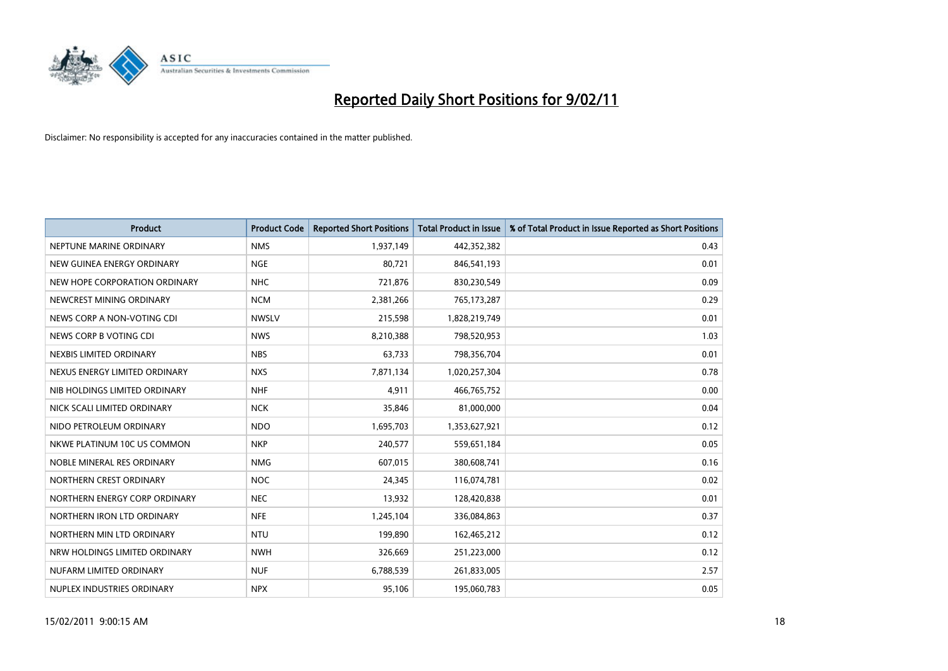

| Product                       | <b>Product Code</b> | <b>Reported Short Positions</b> | <b>Total Product in Issue</b> | % of Total Product in Issue Reported as Short Positions |
|-------------------------------|---------------------|---------------------------------|-------------------------------|---------------------------------------------------------|
| NEPTUNE MARINE ORDINARY       | <b>NMS</b>          | 1,937,149                       | 442,352,382                   | 0.43                                                    |
| NEW GUINEA ENERGY ORDINARY    | <b>NGE</b>          | 80,721                          | 846,541,193                   | 0.01                                                    |
| NEW HOPE CORPORATION ORDINARY | <b>NHC</b>          | 721,876                         | 830,230,549                   | 0.09                                                    |
| NEWCREST MINING ORDINARY      | <b>NCM</b>          | 2,381,266                       | 765,173,287                   | 0.29                                                    |
| NEWS CORP A NON-VOTING CDI    | <b>NWSLV</b>        | 215,598                         | 1,828,219,749                 | 0.01                                                    |
| NEWS CORP B VOTING CDI        | <b>NWS</b>          | 8,210,388                       | 798,520,953                   | 1.03                                                    |
| NEXBIS LIMITED ORDINARY       | <b>NBS</b>          | 63,733                          | 798,356,704                   | 0.01                                                    |
| NEXUS ENERGY LIMITED ORDINARY | <b>NXS</b>          | 7,871,134                       | 1,020,257,304                 | 0.78                                                    |
| NIB HOLDINGS LIMITED ORDINARY | <b>NHF</b>          | 4,911                           | 466,765,752                   | 0.00                                                    |
| NICK SCALI LIMITED ORDINARY   | <b>NCK</b>          | 35,846                          | 81,000,000                    | 0.04                                                    |
| NIDO PETROLEUM ORDINARY       | <b>NDO</b>          | 1,695,703                       | 1,353,627,921                 | 0.12                                                    |
| NKWE PLATINUM 10C US COMMON   | <b>NKP</b>          | 240,577                         | 559,651,184                   | 0.05                                                    |
| NOBLE MINERAL RES ORDINARY    | <b>NMG</b>          | 607,015                         | 380,608,741                   | 0.16                                                    |
| NORTHERN CREST ORDINARY       | <b>NOC</b>          | 24,345                          | 116,074,781                   | 0.02                                                    |
| NORTHERN ENERGY CORP ORDINARY | <b>NEC</b>          | 13,932                          | 128,420,838                   | 0.01                                                    |
| NORTHERN IRON LTD ORDINARY    | <b>NFE</b>          | 1,245,104                       | 336,084,863                   | 0.37                                                    |
| NORTHERN MIN LTD ORDINARY     | <b>NTU</b>          | 199,890                         | 162,465,212                   | 0.12                                                    |
| NRW HOLDINGS LIMITED ORDINARY | <b>NWH</b>          | 326,669                         | 251,223,000                   | 0.12                                                    |
| NUFARM LIMITED ORDINARY       | <b>NUF</b>          | 6,788,539                       | 261,833,005                   | 2.57                                                    |
| NUPLEX INDUSTRIES ORDINARY    | <b>NPX</b>          | 95,106                          | 195,060,783                   | 0.05                                                    |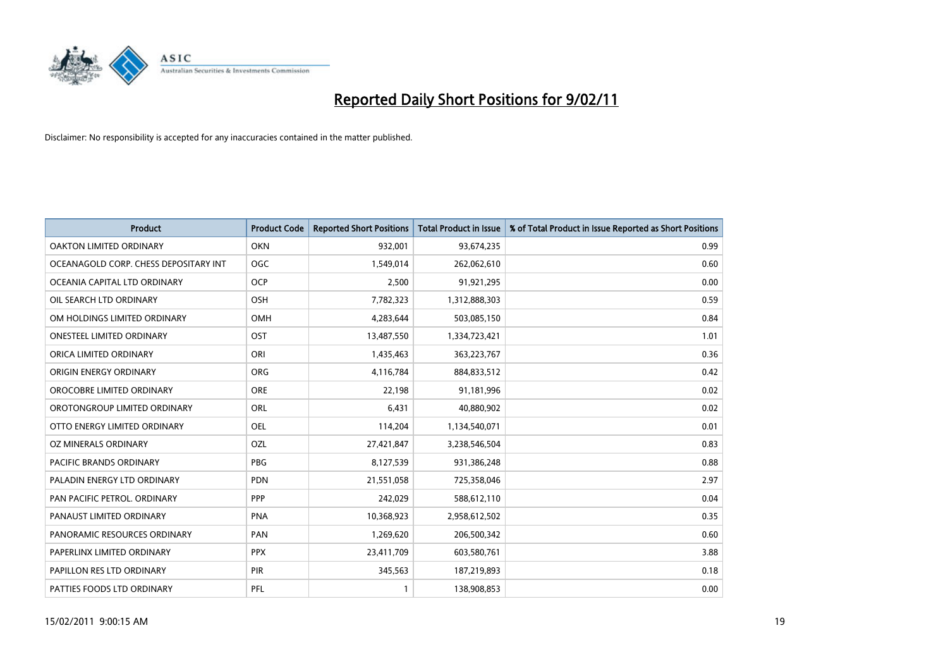

| Product                               | <b>Product Code</b> | <b>Reported Short Positions</b> | <b>Total Product in Issue</b> | % of Total Product in Issue Reported as Short Positions |
|---------------------------------------|---------------------|---------------------------------|-------------------------------|---------------------------------------------------------|
| OAKTON LIMITED ORDINARY               | <b>OKN</b>          | 932,001                         | 93,674,235                    | 0.99                                                    |
| OCEANAGOLD CORP. CHESS DEPOSITARY INT | <b>OGC</b>          | 1,549,014                       | 262,062,610                   | 0.60                                                    |
| OCEANIA CAPITAL LTD ORDINARY          | <b>OCP</b>          | 2,500                           | 91,921,295                    | 0.00                                                    |
| OIL SEARCH LTD ORDINARY               | OSH                 | 7,782,323                       | 1,312,888,303                 | 0.59                                                    |
| OM HOLDINGS LIMITED ORDINARY          | <b>OMH</b>          | 4,283,644                       | 503,085,150                   | 0.84                                                    |
| <b>ONESTEEL LIMITED ORDINARY</b>      | OST                 | 13,487,550                      | 1,334,723,421                 | 1.01                                                    |
| ORICA LIMITED ORDINARY                | ORI                 | 1,435,463                       | 363,223,767                   | 0.36                                                    |
| ORIGIN ENERGY ORDINARY                | <b>ORG</b>          | 4,116,784                       | 884,833,512                   | 0.42                                                    |
| OROCOBRE LIMITED ORDINARY             | <b>ORE</b>          | 22,198                          | 91,181,996                    | 0.02                                                    |
| OROTONGROUP LIMITED ORDINARY          | ORL                 | 6,431                           | 40,880,902                    | 0.02                                                    |
| OTTO ENERGY LIMITED ORDINARY          | <b>OEL</b>          | 114,204                         | 1,134,540,071                 | 0.01                                                    |
| OZ MINERALS ORDINARY                  | OZL                 | 27,421,847                      | 3,238,546,504                 | 0.83                                                    |
| PACIFIC BRANDS ORDINARY               | <b>PBG</b>          | 8,127,539                       | 931,386,248                   | 0.88                                                    |
| PALADIN ENERGY LTD ORDINARY           | <b>PDN</b>          | 21,551,058                      | 725,358,046                   | 2.97                                                    |
| PAN PACIFIC PETROL, ORDINARY          | <b>PPP</b>          | 242,029                         | 588,612,110                   | 0.04                                                    |
| PANAUST LIMITED ORDINARY              | PNA                 | 10,368,923                      | 2,958,612,502                 | 0.35                                                    |
| PANORAMIC RESOURCES ORDINARY          | PAN                 | 1,269,620                       | 206,500,342                   | 0.60                                                    |
| PAPERLINX LIMITED ORDINARY            | <b>PPX</b>          | 23,411,709                      | 603,580,761                   | 3.88                                                    |
| PAPILLON RES LTD ORDINARY             | PIR                 | 345,563                         | 187,219,893                   | 0.18                                                    |
| PATTIES FOODS LTD ORDINARY            | PFL                 |                                 | 138,908,853                   | 0.00                                                    |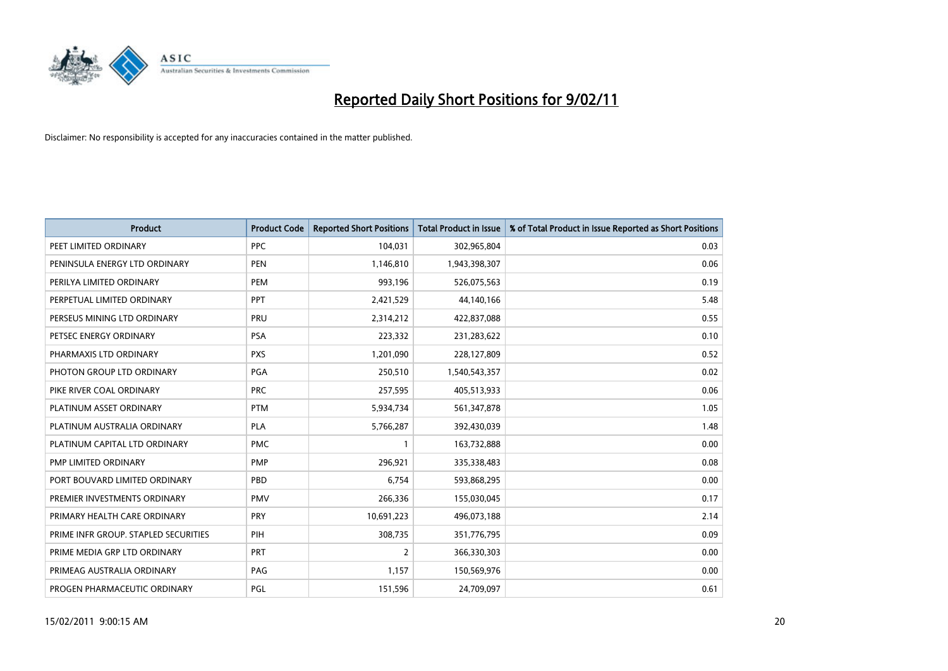

| <b>Product</b>                       | <b>Product Code</b> | <b>Reported Short Positions</b> | <b>Total Product in Issue</b> | % of Total Product in Issue Reported as Short Positions |
|--------------------------------------|---------------------|---------------------------------|-------------------------------|---------------------------------------------------------|
| PEET LIMITED ORDINARY                | <b>PPC</b>          | 104,031                         | 302,965,804                   | 0.03                                                    |
| PENINSULA ENERGY LTD ORDINARY        | <b>PEN</b>          | 1,146,810                       | 1,943,398,307                 | 0.06                                                    |
| PERILYA LIMITED ORDINARY             | PEM                 | 993,196                         | 526,075,563                   | 0.19                                                    |
| PERPETUAL LIMITED ORDINARY           | PPT                 | 2,421,529                       | 44,140,166                    | 5.48                                                    |
| PERSEUS MINING LTD ORDINARY          | PRU                 | 2,314,212                       | 422,837,088                   | 0.55                                                    |
| PETSEC ENERGY ORDINARY               | <b>PSA</b>          | 223,332                         | 231,283,622                   | 0.10                                                    |
| PHARMAXIS LTD ORDINARY               | <b>PXS</b>          | 1,201,090                       | 228,127,809                   | 0.52                                                    |
| PHOTON GROUP LTD ORDINARY            | PGA                 | 250,510                         | 1,540,543,357                 | 0.02                                                    |
| PIKE RIVER COAL ORDINARY             | <b>PRC</b>          | 257,595                         | 405,513,933                   | 0.06                                                    |
| PLATINUM ASSET ORDINARY              | <b>PTM</b>          | 5,934,734                       | 561,347,878                   | 1.05                                                    |
| PLATINUM AUSTRALIA ORDINARY          | <b>PLA</b>          | 5,766,287                       | 392,430,039                   | 1.48                                                    |
| PLATINUM CAPITAL LTD ORDINARY        | <b>PMC</b>          |                                 | 163,732,888                   | 0.00                                                    |
| PMP LIMITED ORDINARY                 | PMP                 | 296,921                         | 335,338,483                   | 0.08                                                    |
| PORT BOUVARD LIMITED ORDINARY        | PBD                 | 6,754                           | 593,868,295                   | 0.00                                                    |
| PREMIER INVESTMENTS ORDINARY         | <b>PMV</b>          | 266,336                         | 155,030,045                   | 0.17                                                    |
| PRIMARY HEALTH CARE ORDINARY         | PRY                 | 10,691,223                      | 496,073,188                   | 2.14                                                    |
| PRIME INFR GROUP. STAPLED SECURITIES | PIH                 | 308,735                         | 351,776,795                   | 0.09                                                    |
| PRIME MEDIA GRP LTD ORDINARY         | <b>PRT</b>          | 2                               | 366,330,303                   | 0.00                                                    |
| PRIMEAG AUSTRALIA ORDINARY           | PAG                 | 1,157                           | 150,569,976                   | 0.00                                                    |
| PROGEN PHARMACEUTIC ORDINARY         | PGL                 | 151,596                         | 24,709,097                    | 0.61                                                    |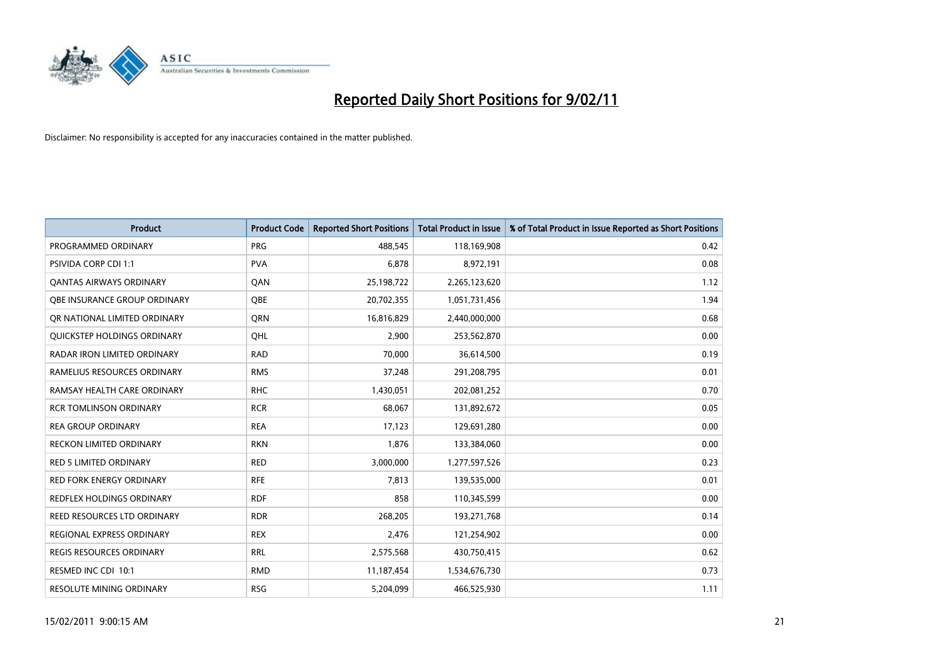

| Product                          | <b>Product Code</b> | <b>Reported Short Positions</b> | <b>Total Product in Issue</b> | % of Total Product in Issue Reported as Short Positions |
|----------------------------------|---------------------|---------------------------------|-------------------------------|---------------------------------------------------------|
| PROGRAMMED ORDINARY              | <b>PRG</b>          | 488,545                         | 118,169,908                   | 0.42                                                    |
| PSIVIDA CORP CDI 1:1             | <b>PVA</b>          | 6,878                           | 8,972,191                     | 0.08                                                    |
| <b>QANTAS AIRWAYS ORDINARY</b>   | QAN                 | 25,198,722                      | 2,265,123,620                 | 1.12                                                    |
| OBE INSURANCE GROUP ORDINARY     | <b>OBE</b>          | 20,702,355                      | 1,051,731,456                 | 1.94                                                    |
| OR NATIONAL LIMITED ORDINARY     | <b>ORN</b>          | 16,816,829                      | 2,440,000,000                 | 0.68                                                    |
| QUICKSTEP HOLDINGS ORDINARY      | OHL                 | 2,900                           | 253,562,870                   | 0.00                                                    |
| RADAR IRON LIMITED ORDINARY      | <b>RAD</b>          | 70,000                          | 36,614,500                    | 0.19                                                    |
| RAMELIUS RESOURCES ORDINARY      | <b>RMS</b>          | 37,248                          | 291,208,795                   | 0.01                                                    |
| RAMSAY HEALTH CARE ORDINARY      | <b>RHC</b>          | 1,430,051                       | 202,081,252                   | 0.70                                                    |
| <b>RCR TOMLINSON ORDINARY</b>    | <b>RCR</b>          | 68,067                          | 131,892,672                   | 0.05                                                    |
| <b>REA GROUP ORDINARY</b>        | <b>REA</b>          | 17,123                          | 129,691,280                   | 0.00                                                    |
| <b>RECKON LIMITED ORDINARY</b>   | <b>RKN</b>          | 1,876                           | 133,384,060                   | 0.00                                                    |
| <b>RED 5 LIMITED ORDINARY</b>    | <b>RED</b>          | 3,000,000                       | 1,277,597,526                 | 0.23                                                    |
| <b>RED FORK ENERGY ORDINARY</b>  | <b>RFE</b>          | 7,813                           | 139,535,000                   | 0.01                                                    |
| <b>REDFLEX HOLDINGS ORDINARY</b> | <b>RDF</b>          | 858                             | 110,345,599                   | 0.00                                                    |
| REED RESOURCES LTD ORDINARY      | <b>RDR</b>          | 268,205                         | 193,271,768                   | 0.14                                                    |
| <b>REGIONAL EXPRESS ORDINARY</b> | <b>REX</b>          | 2,476                           | 121,254,902                   | 0.00                                                    |
| REGIS RESOURCES ORDINARY         | <b>RRL</b>          | 2,575,568                       | 430,750,415                   | 0.62                                                    |
| RESMED INC CDI 10:1              | <b>RMD</b>          | 11,187,454                      | 1,534,676,730                 | 0.73                                                    |
| RESOLUTE MINING ORDINARY         | <b>RSG</b>          | 5,204,099                       | 466,525,930                   | 1.11                                                    |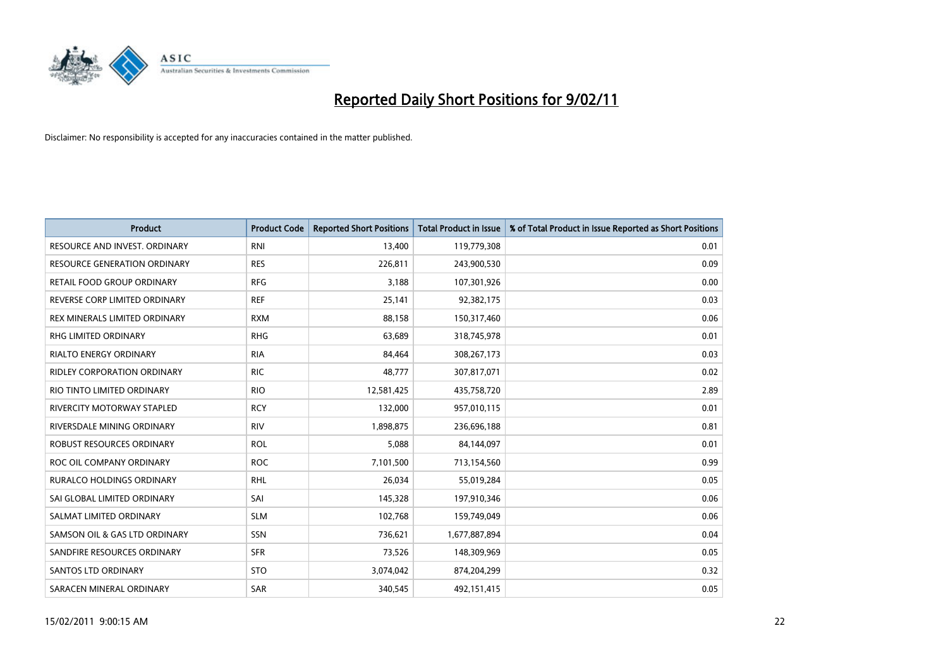

| <b>Product</b>                      | <b>Product Code</b> | <b>Reported Short Positions</b> | <b>Total Product in Issue</b> | % of Total Product in Issue Reported as Short Positions |
|-------------------------------------|---------------------|---------------------------------|-------------------------------|---------------------------------------------------------|
| RESOURCE AND INVEST. ORDINARY       | <b>RNI</b>          | 13,400                          | 119,779,308                   | 0.01                                                    |
| <b>RESOURCE GENERATION ORDINARY</b> | <b>RES</b>          | 226,811                         | 243,900,530                   | 0.09                                                    |
| RETAIL FOOD GROUP ORDINARY          | <b>RFG</b>          | 3,188                           | 107,301,926                   | 0.00                                                    |
| REVERSE CORP LIMITED ORDINARY       | <b>REF</b>          | 25,141                          | 92,382,175                    | 0.03                                                    |
| REX MINERALS LIMITED ORDINARY       | <b>RXM</b>          | 88,158                          | 150,317,460                   | 0.06                                                    |
| <b>RHG LIMITED ORDINARY</b>         | <b>RHG</b>          | 63,689                          | 318,745,978                   | 0.01                                                    |
| <b>RIALTO ENERGY ORDINARY</b>       | <b>RIA</b>          | 84.464                          | 308,267,173                   | 0.03                                                    |
| <b>RIDLEY CORPORATION ORDINARY</b>  | <b>RIC</b>          | 48,777                          | 307,817,071                   | 0.02                                                    |
| RIO TINTO LIMITED ORDINARY          | <b>RIO</b>          | 12,581,425                      | 435,758,720                   | 2.89                                                    |
| <b>RIVERCITY MOTORWAY STAPLED</b>   | <b>RCY</b>          | 132,000                         | 957,010,115                   | 0.01                                                    |
| RIVERSDALE MINING ORDINARY          | <b>RIV</b>          | 1,898,875                       | 236,696,188                   | 0.81                                                    |
| ROBUST RESOURCES ORDINARY           | <b>ROL</b>          | 5,088                           | 84,144,097                    | 0.01                                                    |
| ROC OIL COMPANY ORDINARY            | <b>ROC</b>          | 7,101,500                       | 713,154,560                   | 0.99                                                    |
| <b>RURALCO HOLDINGS ORDINARY</b>    | <b>RHL</b>          | 26,034                          | 55,019,284                    | 0.05                                                    |
| SAI GLOBAL LIMITED ORDINARY         | SAI                 | 145,328                         | 197,910,346                   | 0.06                                                    |
| SALMAT LIMITED ORDINARY             | <b>SLM</b>          | 102,768                         | 159,749,049                   | 0.06                                                    |
| SAMSON OIL & GAS LTD ORDINARY       | <b>SSN</b>          | 736,621                         | 1,677,887,894                 | 0.04                                                    |
| SANDFIRE RESOURCES ORDINARY         | <b>SFR</b>          | 73,526                          | 148,309,969                   | 0.05                                                    |
| <b>SANTOS LTD ORDINARY</b>          | <b>STO</b>          | 3,074,042                       | 874,204,299                   | 0.32                                                    |
| SARACEN MINERAL ORDINARY            | <b>SAR</b>          | 340.545                         | 492,151,415                   | 0.05                                                    |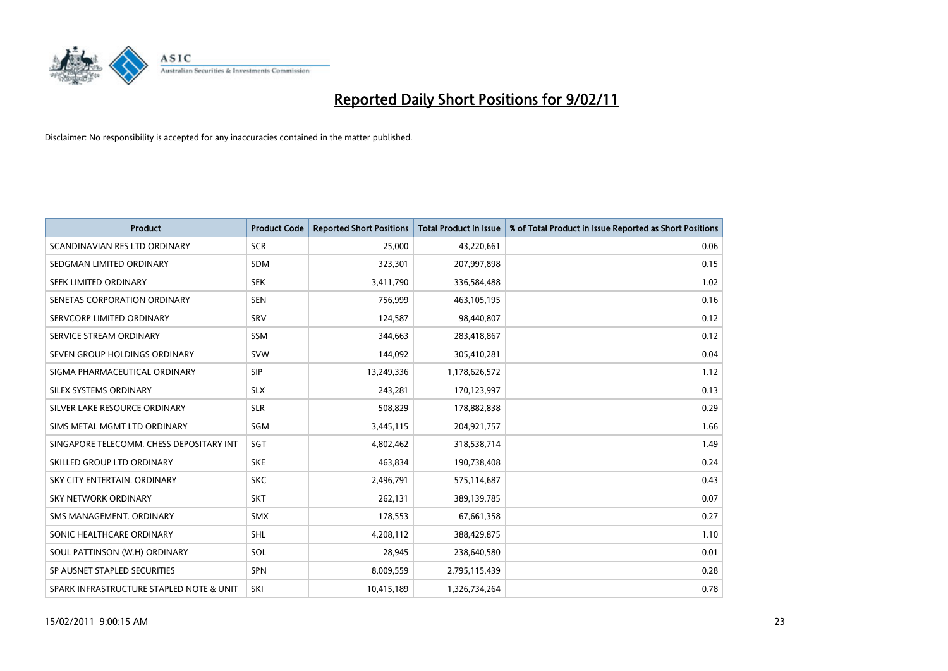

| <b>Product</b>                           | <b>Product Code</b> | <b>Reported Short Positions</b> | <b>Total Product in Issue</b> | % of Total Product in Issue Reported as Short Positions |
|------------------------------------------|---------------------|---------------------------------|-------------------------------|---------------------------------------------------------|
| SCANDINAVIAN RES LTD ORDINARY            | <b>SCR</b>          | 25,000                          | 43,220,661                    | 0.06                                                    |
| SEDGMAN LIMITED ORDINARY                 | <b>SDM</b>          | 323,301                         | 207,997,898                   | 0.15                                                    |
| SEEK LIMITED ORDINARY                    | <b>SEK</b>          | 3,411,790                       | 336,584,488                   | 1.02                                                    |
| SENETAS CORPORATION ORDINARY             | <b>SEN</b>          | 756,999                         | 463,105,195                   | 0.16                                                    |
| SERVCORP LIMITED ORDINARY                | SRV                 | 124,587                         | 98,440,807                    | 0.12                                                    |
| SERVICE STREAM ORDINARY                  | <b>SSM</b>          | 344,663                         | 283,418,867                   | 0.12                                                    |
| SEVEN GROUP HOLDINGS ORDINARY            | <b>SVW</b>          | 144,092                         | 305,410,281                   | 0.04                                                    |
| SIGMA PHARMACEUTICAL ORDINARY            | SIP                 | 13,249,336                      | 1,178,626,572                 | 1.12                                                    |
| SILEX SYSTEMS ORDINARY                   | <b>SLX</b>          | 243,281                         | 170,123,997                   | 0.13                                                    |
| SILVER LAKE RESOURCE ORDINARY            | <b>SLR</b>          | 508,829                         | 178,882,838                   | 0.29                                                    |
| SIMS METAL MGMT LTD ORDINARY             | <b>SGM</b>          | 3,445,115                       | 204,921,757                   | 1.66                                                    |
| SINGAPORE TELECOMM. CHESS DEPOSITARY INT | SGT                 | 4,802,462                       | 318,538,714                   | 1.49                                                    |
| SKILLED GROUP LTD ORDINARY               | <b>SKE</b>          | 463,834                         | 190,738,408                   | 0.24                                                    |
| SKY CITY ENTERTAIN, ORDINARY             | <b>SKC</b>          | 2,496,791                       | 575,114,687                   | 0.43                                                    |
| <b>SKY NETWORK ORDINARY</b>              | <b>SKT</b>          | 262,131                         | 389,139,785                   | 0.07                                                    |
| SMS MANAGEMENT. ORDINARY                 | <b>SMX</b>          | 178,553                         | 67,661,358                    | 0.27                                                    |
| SONIC HEALTHCARE ORDINARY                | <b>SHL</b>          | 4,208,112                       | 388,429,875                   | 1.10                                                    |
| SOUL PATTINSON (W.H) ORDINARY            | SOL                 | 28,945                          | 238,640,580                   | 0.01                                                    |
| SP AUSNET STAPLED SECURITIES             | <b>SPN</b>          | 8,009,559                       | 2,795,115,439                 | 0.28                                                    |
| SPARK INFRASTRUCTURE STAPLED NOTE & UNIT | SKI                 | 10,415,189                      | 1,326,734,264                 | 0.78                                                    |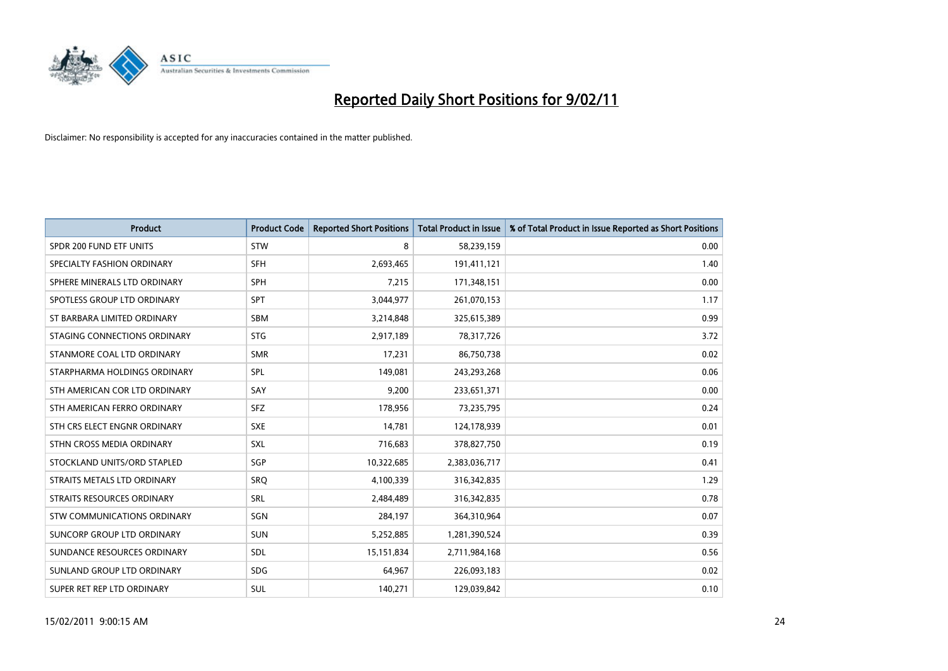

| <b>Product</b>                | <b>Product Code</b> | <b>Reported Short Positions</b> | Total Product in Issue | % of Total Product in Issue Reported as Short Positions |
|-------------------------------|---------------------|---------------------------------|------------------------|---------------------------------------------------------|
| SPDR 200 FUND ETF UNITS       | <b>STW</b>          | 8                               | 58,239,159             | 0.00                                                    |
| SPECIALTY FASHION ORDINARY    | <b>SFH</b>          | 2,693,465                       | 191,411,121            | 1.40                                                    |
| SPHERE MINERALS LTD ORDINARY  | SPH                 | 7,215                           | 171,348,151            | 0.00                                                    |
| SPOTLESS GROUP LTD ORDINARY   | <b>SPT</b>          | 3,044,977                       | 261,070,153            | 1.17                                                    |
| ST BARBARA LIMITED ORDINARY   | <b>SBM</b>          | 3,214,848                       | 325,615,389            | 0.99                                                    |
| STAGING CONNECTIONS ORDINARY  | <b>STG</b>          | 2,917,189                       | 78,317,726             | 3.72                                                    |
| STANMORE COAL LTD ORDINARY    | <b>SMR</b>          | 17,231                          | 86,750,738             | 0.02                                                    |
| STARPHARMA HOLDINGS ORDINARY  | SPL                 | 149,081                         | 243,293,268            | 0.06                                                    |
| STH AMERICAN COR LTD ORDINARY | SAY                 | 9,200                           | 233,651,371            | 0.00                                                    |
| STH AMERICAN FERRO ORDINARY   | <b>SFZ</b>          | 178,956                         | 73,235,795             | 0.24                                                    |
| STH CRS ELECT ENGNR ORDINARY  | <b>SXE</b>          | 14,781                          | 124,178,939            | 0.01                                                    |
| STHN CROSS MEDIA ORDINARY     | SXL                 | 716,683                         | 378,827,750            | 0.19                                                    |
| STOCKLAND UNITS/ORD STAPLED   | SGP                 | 10,322,685                      | 2,383,036,717          | 0.41                                                    |
| STRAITS METALS LTD ORDINARY   | SRO                 | 4,100,339                       | 316, 342, 835          | 1.29                                                    |
| STRAITS RESOURCES ORDINARY    | SRL                 | 2,484,489                       | 316, 342, 835          | 0.78                                                    |
| STW COMMUNICATIONS ORDINARY   | SGN                 | 284,197                         | 364,310,964            | 0.07                                                    |
| SUNCORP GROUP LTD ORDINARY    | <b>SUN</b>          | 5,252,885                       | 1,281,390,524          | 0.39                                                    |
| SUNDANCE RESOURCES ORDINARY   | SDL                 | 15,151,834                      | 2,711,984,168          | 0.56                                                    |
| SUNLAND GROUP LTD ORDINARY    | <b>SDG</b>          | 64,967                          | 226,093,183            | 0.02                                                    |
| SUPER RET REP LTD ORDINARY    | <b>SUL</b>          | 140.271                         | 129,039,842            | 0.10                                                    |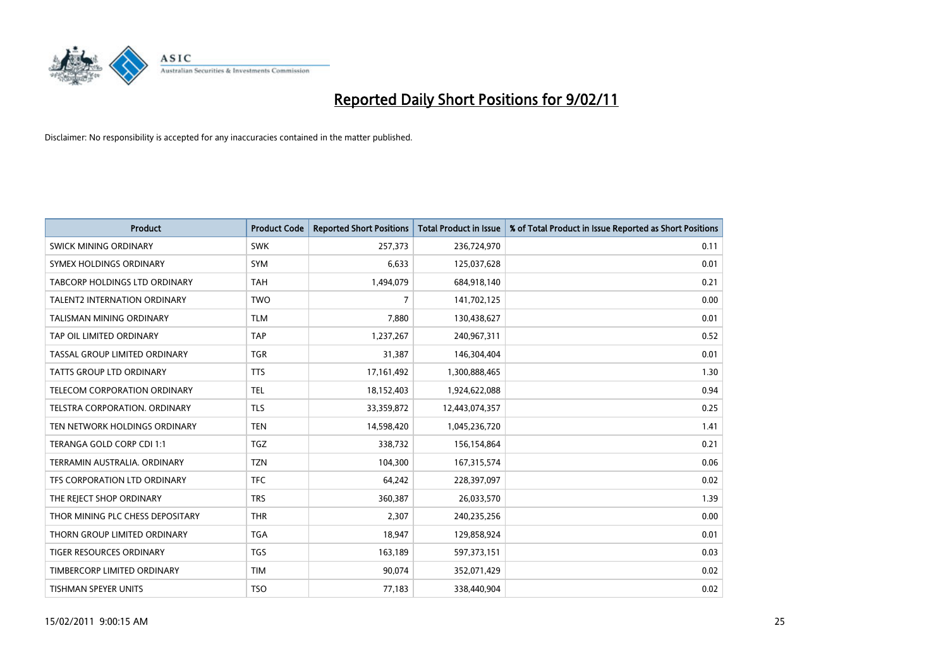

| <b>Product</b>                       | <b>Product Code</b> | <b>Reported Short Positions</b> | <b>Total Product in Issue</b> | % of Total Product in Issue Reported as Short Positions |
|--------------------------------------|---------------------|---------------------------------|-------------------------------|---------------------------------------------------------|
| <b>SWICK MINING ORDINARY</b>         | <b>SWK</b>          | 257,373                         | 236,724,970                   | 0.11                                                    |
| SYMEX HOLDINGS ORDINARY              | <b>SYM</b>          | 6,633                           | 125,037,628                   | 0.01                                                    |
| <b>TABCORP HOLDINGS LTD ORDINARY</b> | <b>TAH</b>          | 1,494,079                       | 684,918,140                   | 0.21                                                    |
| TALENT2 INTERNATION ORDINARY         | <b>TWO</b>          | 7                               | 141,702,125                   | 0.00                                                    |
| <b>TALISMAN MINING ORDINARY</b>      | <b>TLM</b>          | 7,880                           | 130,438,627                   | 0.01                                                    |
| TAP OIL LIMITED ORDINARY             | <b>TAP</b>          | 1,237,267                       | 240,967,311                   | 0.52                                                    |
| TASSAL GROUP LIMITED ORDINARY        | <b>TGR</b>          | 31,387                          | 146,304,404                   | 0.01                                                    |
| TATTS GROUP LTD ORDINARY             | <b>TTS</b>          | 17,161,492                      | 1,300,888,465                 | 1.30                                                    |
| TELECOM CORPORATION ORDINARY         | <b>TEL</b>          | 18,152,403                      | 1,924,622,088                 | 0.94                                                    |
| TELSTRA CORPORATION, ORDINARY        | <b>TLS</b>          | 33,359,872                      | 12,443,074,357                | 0.25                                                    |
| TEN NETWORK HOLDINGS ORDINARY        | <b>TEN</b>          | 14,598,420                      | 1,045,236,720                 | 1.41                                                    |
| TERANGA GOLD CORP CDI 1:1            | <b>TGZ</b>          | 338,732                         | 156,154,864                   | 0.21                                                    |
| TERRAMIN AUSTRALIA. ORDINARY         | <b>TZN</b>          | 104,300                         | 167,315,574                   | 0.06                                                    |
| TFS CORPORATION LTD ORDINARY         | <b>TFC</b>          | 64,242                          | 228,397,097                   | 0.02                                                    |
| THE REJECT SHOP ORDINARY             | <b>TRS</b>          | 360,387                         | 26,033,570                    | 1.39                                                    |
| THOR MINING PLC CHESS DEPOSITARY     | <b>THR</b>          | 2,307                           | 240,235,256                   | 0.00                                                    |
| THORN GROUP LIMITED ORDINARY         | <b>TGA</b>          | 18,947                          | 129,858,924                   | 0.01                                                    |
| TIGER RESOURCES ORDINARY             | <b>TGS</b>          | 163,189                         | 597,373,151                   | 0.03                                                    |
| TIMBERCORP LIMITED ORDINARY          | <b>TIM</b>          | 90,074                          | 352,071,429                   | 0.02                                                    |
| TISHMAN SPEYER UNITS                 | <b>TSO</b>          | 77,183                          | 338,440,904                   | 0.02                                                    |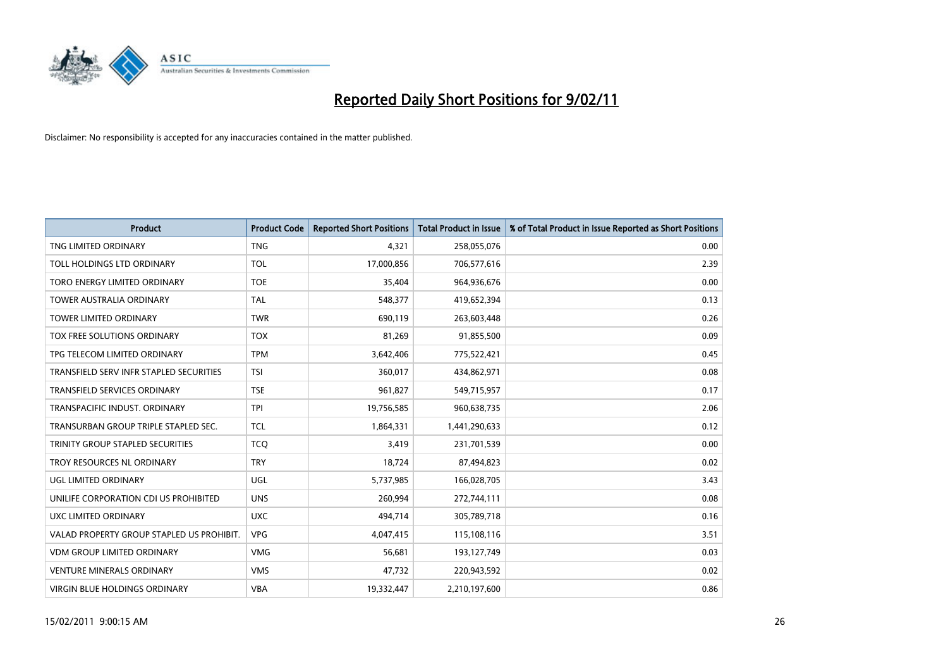

| <b>Product</b>                            | <b>Product Code</b> | <b>Reported Short Positions</b> | <b>Total Product in Issue</b> | % of Total Product in Issue Reported as Short Positions |
|-------------------------------------------|---------------------|---------------------------------|-------------------------------|---------------------------------------------------------|
| TNG LIMITED ORDINARY                      | <b>TNG</b>          | 4,321                           | 258,055,076                   | 0.00                                                    |
| TOLL HOLDINGS LTD ORDINARY                | <b>TOL</b>          | 17,000,856                      | 706,577,616                   | 2.39                                                    |
| TORO ENERGY LIMITED ORDINARY              | <b>TOE</b>          | 35,404                          | 964,936,676                   | 0.00                                                    |
| TOWER AUSTRALIA ORDINARY                  | <b>TAL</b>          | 548,377                         | 419,652,394                   | 0.13                                                    |
| <b>TOWER LIMITED ORDINARY</b>             | <b>TWR</b>          | 690,119                         | 263,603,448                   | 0.26                                                    |
| TOX FREE SOLUTIONS ORDINARY               | <b>TOX</b>          | 81,269                          | 91,855,500                    | 0.09                                                    |
| TPG TELECOM LIMITED ORDINARY              | <b>TPM</b>          | 3,642,406                       | 775,522,421                   | 0.45                                                    |
| TRANSFIELD SERV INFR STAPLED SECURITIES   | <b>TSI</b>          | 360,017                         | 434,862,971                   | 0.08                                                    |
| TRANSFIELD SERVICES ORDINARY              | <b>TSE</b>          | 961,827                         | 549,715,957                   | 0.17                                                    |
| TRANSPACIFIC INDUST, ORDINARY             | <b>TPI</b>          | 19,756,585                      | 960,638,735                   | 2.06                                                    |
| TRANSURBAN GROUP TRIPLE STAPLED SEC.      | <b>TCL</b>          | 1,864,331                       | 1,441,290,633                 | 0.12                                                    |
| TRINITY GROUP STAPLED SECURITIES          | <b>TCQ</b>          | 3,419                           | 231,701,539                   | 0.00                                                    |
| TROY RESOURCES NL ORDINARY                | <b>TRY</b>          | 18,724                          | 87,494,823                    | 0.02                                                    |
| UGL LIMITED ORDINARY                      | <b>UGL</b>          | 5,737,985                       | 166,028,705                   | 3.43                                                    |
| UNILIFE CORPORATION CDI US PROHIBITED     | <b>UNS</b>          | 260,994                         | 272,744,111                   | 0.08                                                    |
| UXC LIMITED ORDINARY                      | <b>UXC</b>          | 494,714                         | 305,789,718                   | 0.16                                                    |
| VALAD PROPERTY GROUP STAPLED US PROHIBIT. | <b>VPG</b>          | 4,047,415                       | 115,108,116                   | 3.51                                                    |
| <b>VDM GROUP LIMITED ORDINARY</b>         | <b>VMG</b>          | 56,681                          | 193,127,749                   | 0.03                                                    |
| <b>VENTURE MINERALS ORDINARY</b>          | <b>VMS</b>          | 47,732                          | 220,943,592                   | 0.02                                                    |
| <b>VIRGIN BLUE HOLDINGS ORDINARY</b>      | <b>VBA</b>          | 19,332,447                      | 2,210,197,600                 | 0.86                                                    |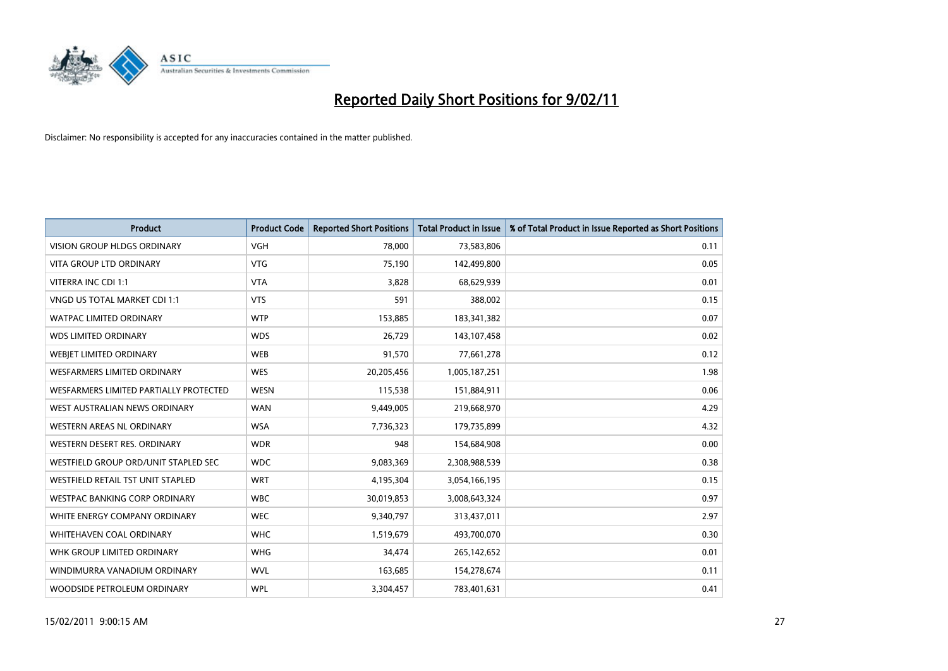

| Product                                | <b>Product Code</b> | <b>Reported Short Positions</b> | <b>Total Product in Issue</b> | % of Total Product in Issue Reported as Short Positions |
|----------------------------------------|---------------------|---------------------------------|-------------------------------|---------------------------------------------------------|
| <b>VISION GROUP HLDGS ORDINARY</b>     | <b>VGH</b>          | 78,000                          | 73,583,806                    | 0.11                                                    |
| <b>VITA GROUP LTD ORDINARY</b>         | <b>VTG</b>          | 75,190                          | 142,499,800                   | 0.05                                                    |
| VITERRA INC CDI 1:1                    | <b>VTA</b>          | 3,828                           | 68,629,939                    | 0.01                                                    |
| VNGD US TOTAL MARKET CDI 1:1           | <b>VTS</b>          | 591                             | 388,002                       | 0.15                                                    |
| <b>WATPAC LIMITED ORDINARY</b>         | <b>WTP</b>          | 153,885                         | 183,341,382                   | 0.07                                                    |
| <b>WDS LIMITED ORDINARY</b>            | <b>WDS</b>          | 26,729                          | 143,107,458                   | 0.02                                                    |
| WEBJET LIMITED ORDINARY                | <b>WEB</b>          | 91,570                          | 77,661,278                    | 0.12                                                    |
| <b>WESFARMERS LIMITED ORDINARY</b>     | <b>WES</b>          | 20,205,456                      | 1,005,187,251                 | 1.98                                                    |
| WESFARMERS LIMITED PARTIALLY PROTECTED | <b>WESN</b>         | 115,538                         | 151,884,911                   | 0.06                                                    |
| WEST AUSTRALIAN NEWS ORDINARY          | <b>WAN</b>          | 9,449,005                       | 219,668,970                   | 4.29                                                    |
| <b>WESTERN AREAS NL ORDINARY</b>       | <b>WSA</b>          | 7,736,323                       | 179,735,899                   | 4.32                                                    |
| WESTERN DESERT RES. ORDINARY           | <b>WDR</b>          | 948                             | 154,684,908                   | 0.00                                                    |
| WESTFIELD GROUP ORD/UNIT STAPLED SEC   | <b>WDC</b>          | 9,083,369                       | 2,308,988,539                 | 0.38                                                    |
| WESTFIELD RETAIL TST UNIT STAPLED      | <b>WRT</b>          | 4,195,304                       | 3,054,166,195                 | 0.15                                                    |
| <b>WESTPAC BANKING CORP ORDINARY</b>   | <b>WBC</b>          | 30,019,853                      | 3,008,643,324                 | 0.97                                                    |
| WHITE ENERGY COMPANY ORDINARY          | <b>WEC</b>          | 9,340,797                       | 313,437,011                   | 2.97                                                    |
| WHITEHAVEN COAL ORDINARY               | <b>WHC</b>          | 1,519,679                       | 493,700,070                   | 0.30                                                    |
| WHK GROUP LIMITED ORDINARY             | <b>WHG</b>          | 34,474                          | 265,142,652                   | 0.01                                                    |
| WINDIMURRA VANADIUM ORDINARY           | <b>WVL</b>          | 163,685                         | 154,278,674                   | 0.11                                                    |
| WOODSIDE PETROLEUM ORDINARY            | <b>WPL</b>          | 3,304,457                       | 783,401,631                   | 0.41                                                    |